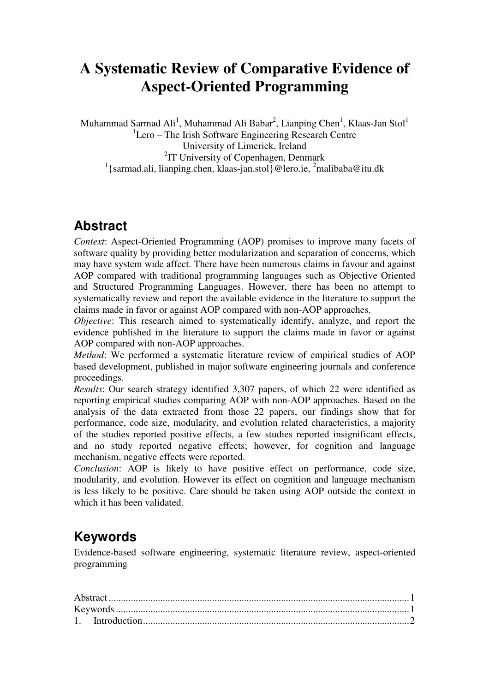# **A Systematic Review of Comparative Evidence of Aspect-Oriented Programming**

Muhammad Sarmad Ali<sup>1</sup>, Muhammad Ali Babar<sup>2</sup>, Lianping Chen<sup>1</sup>, Klaas-Jan Stol<sup>1</sup> <sup>1</sup>Lero – The Irish Software Engineering Research Centre University of Limerick, Ireland <sup>2</sup>IT University of Copenhagen, Denmark <sup>1</sup>{sarmad.ali, lianping.chen, klaas-jan.stol}@lero.ie, <sup>2</sup>malibaba@itu.dk

### **Abstract**

*Context*: Aspect-Oriented Programming (AOP) promises to improve many facets of software quality by providing better modularization and separation of concerns, which may have system wide affect. There have been numerous claims in favour and against AOP compared with traditional programming languages such as Objective Oriented and Structured Programming Languages. However, there has been no attempt to systematically review and report the available evidence in the literature to support the claims made in favor or against AOP compared with non-AOP approaches.

*Objective*: This research aimed to systematically identify, analyze, and report the evidence published in the literature to support the claims made in favor or against AOP compared with non-AOP approaches.

*Method*: We performed a systematic literature review of empirical studies of AOP based development, published in major software engineering journals and conference proceedings.

*Results*: Our search strategy identified 3,307 papers, of which 22 were identified as reporting empirical studies comparing AOP with non-AOP approaches. Based on the analysis of the data extracted from those 22 papers, our findings show that for performance, code size, modularity, and evolution related characteristics, a majority of the studies reported positive effects, a few studies reported insignificant effects, and no study reported negative effects; however, for cognition and language mechanism, negative effects were reported.

*Conclusion*: AOP is likely to have positive effect on performance, code size, modularity, and evolution. However its effect on cognition and language mechanism is less likely to be positive. Care should be taken using AOP outside the context in which it has been validated.

# **Keywords**

Evidence-based software engineering, systematic literature review, aspect-oriented programming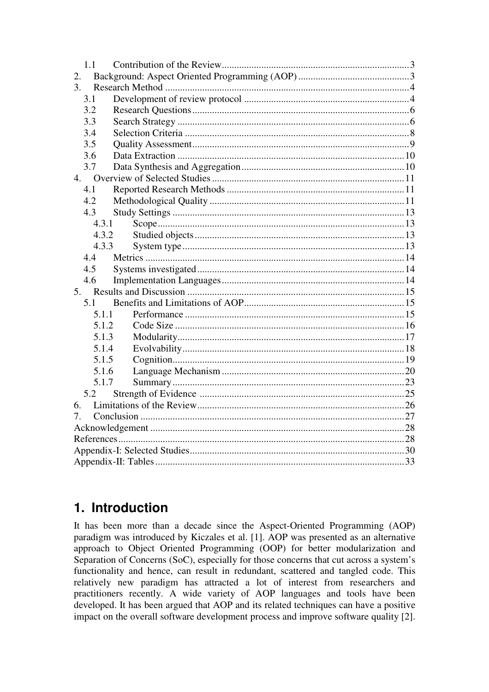| 1.1   |       |  |
|-------|-------|--|
| 2.    |       |  |
| 3.    |       |  |
| 3.1   |       |  |
| 3.2   |       |  |
| 3.3   |       |  |
| 3.4   |       |  |
| 3.5   |       |  |
| 3.6   |       |  |
| 3.7   |       |  |
| 4.    |       |  |
| 4.1   |       |  |
| 4.2   |       |  |
| 4.3   |       |  |
| 4.3.1 |       |  |
|       | 4.3.2 |  |
| 4.3.3 |       |  |
| 4.4   |       |  |
| 4.5   |       |  |
| 4.6   |       |  |
| 5.    |       |  |
| 5.1   |       |  |
| 5.1.1 |       |  |
| 5.1.2 |       |  |
| 5.1.3 |       |  |
| 5.1.4 |       |  |
| 5.1.5 |       |  |
| 5.1.6 |       |  |
| 5.1.7 |       |  |
| 5.2   |       |  |
| 6.    |       |  |
| 7.    |       |  |
|       |       |  |
|       |       |  |
|       |       |  |
|       |       |  |

# 1. Introduction

It has been more than a decade since the Aspect-Oriented Programming (AOP) paradigm was introduced by Kiczales et al. [1]. AOP was presented as an alternative approach to Object Oriented Programming (OOP) for better modularization and Separation of Concerns (SoC), especially for those concerns that cut across a system's functionality and hence, can result in redundant, scattered and tangled code. This relatively new paradigm has attracted a lot of interest from researchers and practitioners recently. A wide variety of AOP languages and tools have been developed. It has been argued that AOP and its related techniques can have a positive impact on the overall software development process and improve software quality [2].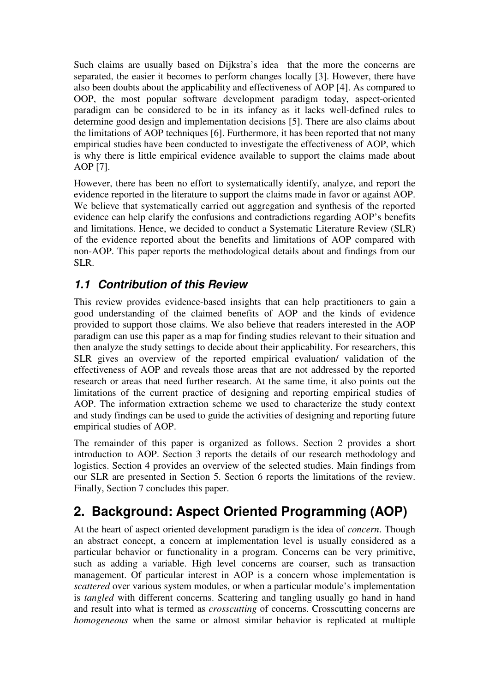Such claims are usually based on Dijkstra's idea that the more the concerns are separated, the easier it becomes to perform changes locally [3]. However, there have also been doubts about the applicability and effectiveness of AOP [4]. As compared to OOP, the most popular software development paradigm today, aspect-oriented paradigm can be considered to be in its infancy as it lacks well-defined rules to determine good design and implementation decisions [5]. There are also claims about the limitations of AOP techniques [6]. Furthermore, it has been reported that not many empirical studies have been conducted to investigate the effectiveness of AOP, which is why there is little empirical evidence available to support the claims made about AOP [7].

However, there has been no effort to systematically identify, analyze, and report the evidence reported in the literature to support the claims made in favor or against AOP. We believe that systematically carried out aggregation and synthesis of the reported evidence can help clarify the confusions and contradictions regarding AOP's benefits and limitations. Hence, we decided to conduct a Systematic Literature Review (SLR) of the evidence reported about the benefits and limitations of AOP compared with non-AOP. This paper reports the methodological details about and findings from our SLR.

### **1.1 Contribution of this Review**

This review provides evidence-based insights that can help practitioners to gain a good understanding of the claimed benefits of AOP and the kinds of evidence provided to support those claims. We also believe that readers interested in the AOP paradigm can use this paper as a map for finding studies relevant to their situation and then analyze the study settings to decide about their applicability. For researchers, this SLR gives an overview of the reported empirical evaluation/ validation of the effectiveness of AOP and reveals those areas that are not addressed by the reported research or areas that need further research. At the same time, it also points out the limitations of the current practice of designing and reporting empirical studies of AOP. The information extraction scheme we used to characterize the study context and study findings can be used to guide the activities of designing and reporting future empirical studies of AOP.

The remainder of this paper is organized as follows. Section 2 provides a short introduction to AOP. Section 3 reports the details of our research methodology and logistics. Section 4 provides an overview of the selected studies. Main findings from our SLR are presented in Section 5. Section 6 reports the limitations of the review. Finally, Section 7 concludes this paper.

# **2. Background: Aspect Oriented Programming (AOP)**

At the heart of aspect oriented development paradigm is the idea of *concern*. Though an abstract concept, a concern at implementation level is usually considered as a particular behavior or functionality in a program. Concerns can be very primitive, such as adding a variable. High level concerns are coarser, such as transaction management. Of particular interest in AOP is a concern whose implementation is *scattered* over various system modules, or when a particular module's implementation is *tangled* with different concerns. Scattering and tangling usually go hand in hand and result into what is termed as *crosscutting* of concerns. Crosscutting concerns are *homogeneous* when the same or almost similar behavior is replicated at multiple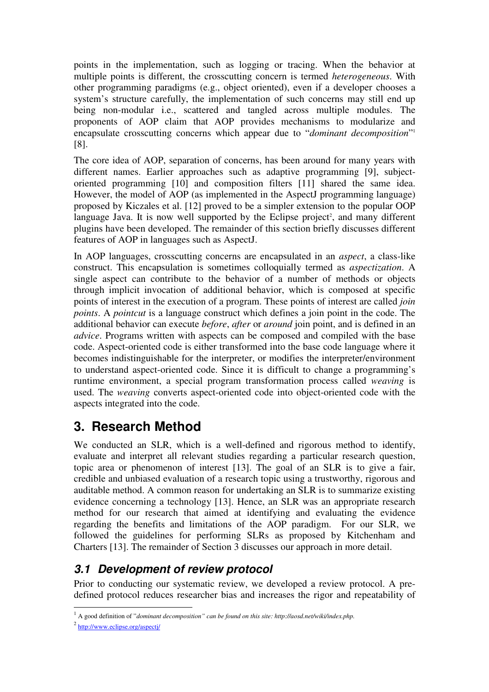points in the implementation, such as logging or tracing. When the behavior at multiple points is different, the crosscutting concern is termed *heterogeneous*. With other programming paradigms (e.g., object oriented), even if a developer chooses a system's structure carefully, the implementation of such concerns may still end up being non-modular i.e., scattered and tangled across multiple modules. The proponents of AOP claim that AOP provides mechanisms to modularize and encapsulate crosscutting concerns which appear due to "*dominant decomposition*" 1 [8].

The core idea of AOP, separation of concerns, has been around for many years with different names. Earlier approaches such as adaptive programming [9], subjectoriented programming [10] and composition filters [11] shared the same idea. However, the model of AOP (as implemented in the AspectJ programming language) proposed by Kiczales et al. [12] proved to be a simpler extension to the popular OOP language Java. It is now well supported by the Eclipse project<sup>2</sup>, and many different plugins have been developed. The remainder of this section briefly discusses different features of AOP in languages such as AspectJ.

In AOP languages, crosscutting concerns are encapsulated in an *aspect*, a class*-*like construct. This encapsulation is sometimes colloquially termed as *aspectization*. A single aspect can contribute to the behavior of a number of methods or objects through implicit invocation of additional behavior, which is composed at specific points of interest in the execution of a program. These points of interest are called *join points*. A *pointcut* is a language construct which defines a join point in the code. The additional behavior can execute *before*, *after* or *around* join point, and is defined in an *advice*. Programs written with aspects can be composed and compiled with the base code. Aspect-oriented code is either transformed into the base code language where it becomes indistinguishable for the interpreter, or modifies the interpreter/environment to understand aspect-oriented code. Since it is difficult to change a programming's runtime environment, a special program transformation process called *weaving* is used. The *weaving* converts aspect-oriented code into object-oriented code with the aspects integrated into the code.

# **3. Research Method**

We conducted an SLR, which is a well-defined and rigorous method to identify, evaluate and interpret all relevant studies regarding a particular research question, topic area or phenomenon of interest [13]. The goal of an SLR is to give a fair, credible and unbiased evaluation of a research topic using a trustworthy, rigorous and auditable method. A common reason for undertaking an SLR is to summarize existing evidence concerning a technology [13]. Hence, an SLR was an appropriate research method for our research that aimed at identifying and evaluating the evidence regarding the benefits and limitations of the AOP paradigm. For our SLR, we followed the guidelines for performing SLRs as proposed by Kitchenham and Charters [13]. The remainder of Section 3 discusses our approach in more detail.

### **3.1 Development of review protocol**

Prior to conducting our systematic review, we developed a review protocol. A predefined protocol reduces researcher bias and increases the rigor and repeatability of

 1 A good definition of "*dominant decomposition" can be found on this site: http://aosd.net/wiki/index.php.*

<sup>&</sup>lt;sup>2</sup> http://www.eclipse.org/aspectj/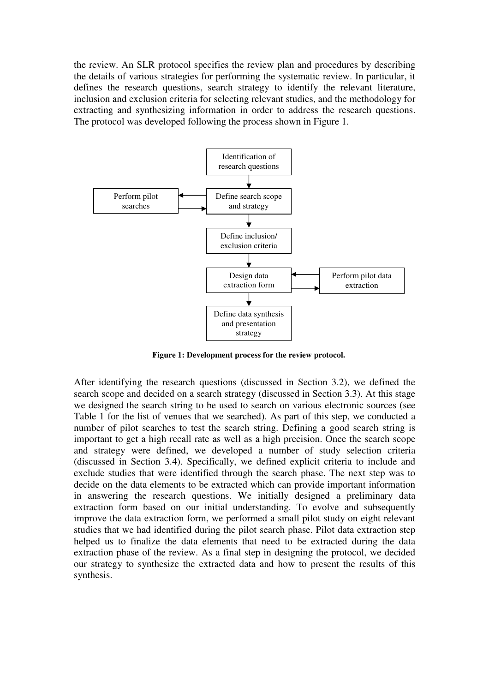the review. An SLR protocol specifies the review plan and procedures by describing the details of various strategies for performing the systematic review. In particular, it defines the research questions, search strategy to identify the relevant literature, inclusion and exclusion criteria for selecting relevant studies, and the methodology for extracting and synthesizing information in order to address the research questions. The protocol was developed following the process shown in Figure 1.



**Figure 1: Development process for the review protocol.**

After identifying the research questions (discussed in Section 3.2), we defined the search scope and decided on a search strategy (discussed in Section 3.3). At this stage we designed the search string to be used to search on various electronic sources (see Table 1 for the list of venues that we searched). As part of this step, we conducted a number of pilot searches to test the search string. Defining a good search string is important to get a high recall rate as well as a high precision. Once the search scope and strategy were defined, we developed a number of study selection criteria (discussed in Section 3.4). Specifically, we defined explicit criteria to include and exclude studies that were identified through the search phase. The next step was to decide on the data elements to be extracted which can provide important information in answering the research questions. We initially designed a preliminary data extraction form based on our initial understanding. To evolve and subsequently improve the data extraction form, we performed a small pilot study on eight relevant studies that we had identified during the pilot search phase. Pilot data extraction step helped us to finalize the data elements that need to be extracted during the data extraction phase of the review. As a final step in designing the protocol, we decided our strategy to synthesize the extracted data and how to present the results of this synthesis.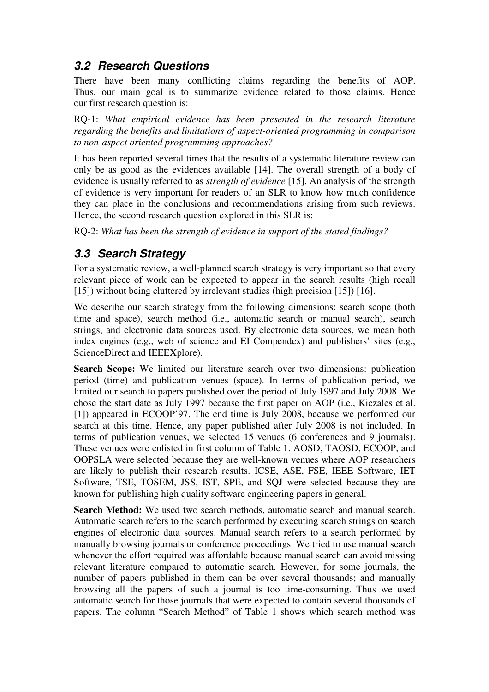### **3.2 Research Questions**

There have been many conflicting claims regarding the benefits of AOP. Thus, our main goal is to summarize evidence related to those claims. Hence our first research question is:

RQ-1: *What empirical evidence has been presented in the research literature regarding the benefits and limitations of aspect-oriented programming in comparison to non-aspect oriented programming approaches?* 

It has been reported several times that the results of a systematic literature review can only be as good as the evidences available [14]. The overall strength of a body of evidence is usually referred to as *strength of evidence* [15]. An analysis of the strength of evidence is very important for readers of an SLR to know how much confidence they can place in the conclusions and recommendations arising from such reviews. Hence, the second research question explored in this SLR is:

RQ-2: *What has been the strength of evidence in support of the stated findings?* 

### **3.3 Search Strategy**

For a systematic review, a well-planned search strategy is very important so that every relevant piece of work can be expected to appear in the search results (high recall [15]) without being cluttered by irrelevant studies (high precision [15]) [16].

We describe our search strategy from the following dimensions: search scope (both time and space), search method (i.e., automatic search or manual search), search strings, and electronic data sources used. By electronic data sources, we mean both index engines (e.g., web of science and EI Compendex) and publishers' sites (e.g., ScienceDirect and IEEEXplore).

**Search Scope:** We limited our literature search over two dimensions: publication period (time) and publication venues (space). In terms of publication period, we limited our search to papers published over the period of July 1997 and July 2008. We chose the start date as July 1997 because the first paper on AOP (i.e., Kiczales et al. [1]) appeared in ECOOP'97. The end time is July 2008, because we performed our search at this time. Hence, any paper published after July 2008 is not included. In terms of publication venues, we selected 15 venues (6 conferences and 9 journals). These venues were enlisted in first column of Table 1. AOSD, TAOSD, ECOOP, and OOPSLA were selected because they are well-known venues where AOP researchers are likely to publish their research results. ICSE, ASE, FSE, IEEE Software, IET Software, TSE, TOSEM, JSS, IST, SPE, and SQJ were selected because they are known for publishing high quality software engineering papers in general.

**Search Method:** We used two search methods, automatic search and manual search. Automatic search refers to the search performed by executing search strings on search engines of electronic data sources. Manual search refers to a search performed by manually browsing journals or conference proceedings. We tried to use manual search whenever the effort required was affordable because manual search can avoid missing relevant literature compared to automatic search. However, for some journals, the number of papers published in them can be over several thousands; and manually browsing all the papers of such a journal is too time-consuming. Thus we used automatic search for those journals that were expected to contain several thousands of papers. The column "Search Method" of Table 1 shows which search method was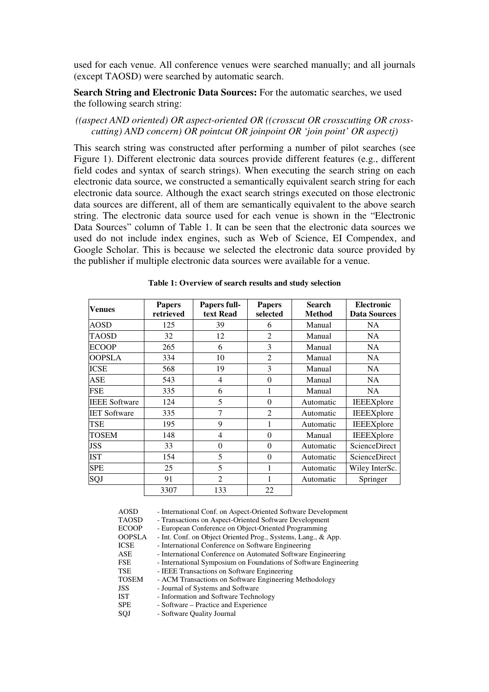used for each venue. All conference venues were searched manually; and all journals (except TAOSD) were searched by automatic search.

**Search String and Electronic Data Sources:** For the automatic searches, we used the following search string:

#### *((aspect AND oriented) OR aspect-oriented OR ((crosscut OR crosscutting OR crosscutting) AND concern) OR pointcut OR joinpoint OR 'join point' OR aspectj)*

This search string was constructed after performing a number of pilot searches (see Figure 1). Different electronic data sources provide different features (e.g., different field codes and syntax of search strings). When executing the search string on each electronic data source, we constructed a semantically equivalent search string for each electronic data source. Although the exact search strings executed on those electronic data sources are different, all of them are semantically equivalent to the above search string. The electronic data source used for each venue is shown in the "Electronic Data Sources" column of Table 1. It can be seen that the electronic data sources we used do not include index engines, such as Web of Science, EI Compendex, and Google Scholar. This is because we selected the electronic data source provided by the publisher if multiple electronic data sources were available for a venue.

| <b>Venues</b>        | <b>Papers</b><br>retrieved | Papers full-<br>text Read | <b>Papers</b><br>selected | <b>Search</b><br><b>Method</b> | <b>Electronic</b><br><b>Data Sources</b> |
|----------------------|----------------------------|---------------------------|---------------------------|--------------------------------|------------------------------------------|
| AOSD                 | 125                        | 39                        | 6                         | Manual                         | <b>NA</b>                                |
| <b>TAOSD</b>         | 32                         | 12                        | $\overline{2}$            | Manual                         | <b>NA</b>                                |
| <b>ECOOP</b>         | 265                        | 6                         | 3                         | Manual                         | NA                                       |
| <b>OOPSLA</b>        | 334                        | 10                        | $\overline{2}$            | Manual                         | <b>NA</b>                                |
| <b>ICSE</b>          | 568                        | 19                        | 3                         | Manual                         | <b>NA</b>                                |
| ASE                  | 543                        | $\overline{4}$            | $\theta$                  | Manual                         | <b>NA</b>                                |
| FSE                  | 335                        | 6                         | 1                         | Manual                         | <b>NA</b>                                |
| <b>IEEE Software</b> | 124                        | 5                         | $\Omega$                  | Automatic                      | IEEEXplore                               |
| <b>IET Software</b>  | 335                        | 7                         | $\overline{2}$            | Automatic                      | IEEEXplore                               |
| TSE                  | 195                        | 9                         | 1                         | Automatic                      | IEEEXplore                               |
| <b>TOSEM</b>         | 148                        | $\overline{4}$            | $\theta$                  | Manual                         | IEEEXplore                               |
| JSS                  | 33                         | $\theta$                  | $\theta$                  | Automatic                      | ScienceDirect                            |
| <b>IST</b>           | 154                        | 5                         | $\Omega$                  | Automatic                      | <b>ScienceDirect</b>                     |
| <b>SPE</b>           | 25                         | 5                         |                           | Automatic                      | Wiley InterSc.                           |
| SQJ                  | 91                         | $\overline{2}$            | 1                         | Automatic                      | Springer                                 |
|                      | 3307                       | 133                       | 22                        |                                |                                          |

**Table 1: Overview of search results and study selection** 

| AOSD          | - International Conf. on Aspect-Oriented Software Development    |
|---------------|------------------------------------------------------------------|
| <b>TAOSD</b>  | - Transactions on Aspect-Oriented Software Development           |
| <b>ECOOP</b>  | - European Conference on Object-Oriented Programming             |
| <b>OOPSLA</b> | - Int. Conf. on Object Oriented Prog., Systems, Lang., & App.    |
| <b>ICSE</b>   | - International Conference on Software Engineering               |
| ASE           | - International Conference on Automated Software Engineering     |
| FSE.          | - International Symposium on Foundations of Software Engineering |
| TSE           | - IEEE Transactions on Software Engineering                      |
| <b>TOSEM</b>  | - ACM Transactions on Software Engineering Methodology           |
| <b>JSS</b>    | - Journal of Systems and Software                                |
| IST           | - Information and Software Technology                            |
| <b>SPE</b>    | - Software – Practice and Experience                             |
| SQJ           | - Software Quality Journal                                       |
|               |                                                                  |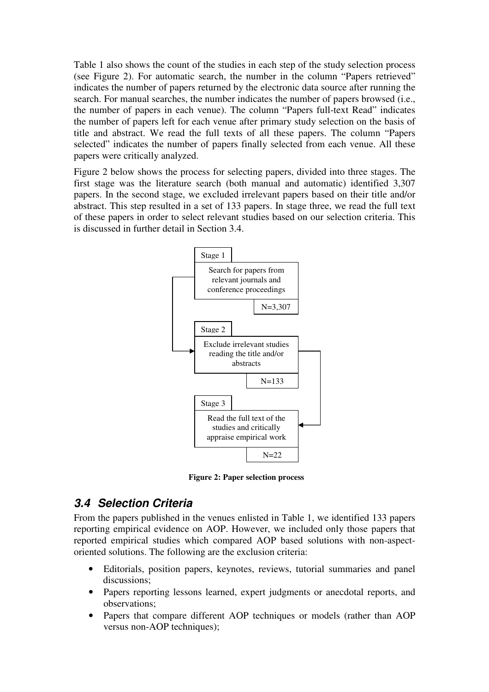Table 1 also shows the count of the studies in each step of the study selection process (see Figure 2). For automatic search, the number in the column "Papers retrieved" indicates the number of papers returned by the electronic data source after running the search. For manual searches, the number indicates the number of papers browsed (i.e., the number of papers in each venue). The column "Papers full-text Read" indicates the number of papers left for each venue after primary study selection on the basis of title and abstract. We read the full texts of all these papers. The column "Papers selected" indicates the number of papers finally selected from each venue. All these papers were critically analyzed.

Figure 2 below shows the process for selecting papers, divided into three stages. The first stage was the literature search (both manual and automatic) identified 3,307 papers. In the second stage, we excluded irrelevant papers based on their title and/or abstract. This step resulted in a set of 133 papers. In stage three, we read the full text of these papers in order to select relevant studies based on our selection criteria. This is discussed in further detail in Section 3.4.



**Figure 2: Paper selection process** 

#### **3.4 Selection Criteria**

From the papers published in the venues enlisted in Table 1, we identified 133 papers reporting empirical evidence on AOP. However, we included only those papers that reported empirical studies which compared AOP based solutions with non-aspectoriented solutions. The following are the exclusion criteria:

- Editorials, position papers, keynotes, reviews, tutorial summaries and panel discussions;
- Papers reporting lessons learned, expert judgments or anecdotal reports, and observations;
- Papers that compare different AOP techniques or models (rather than AOP versus non-AOP techniques);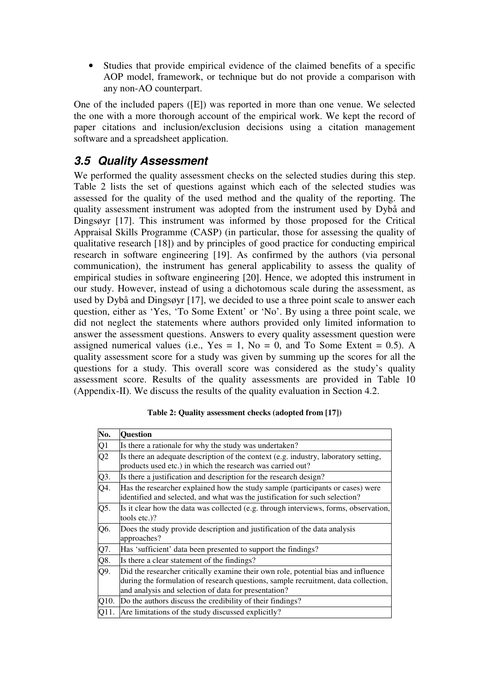Studies that provide empirical evidence of the claimed benefits of a specific AOP model, framework, or technique but do not provide a comparison with any non-AO counterpart.

One of the included papers ([E]) was reported in more than one venue. We selected the one with a more thorough account of the empirical work. We kept the record of paper citations and inclusion/exclusion decisions using a citation management software and a spreadsheet application.

#### **3.5 Quality Assessment**

We performed the quality assessment checks on the selected studies during this step. Table 2 lists the set of questions against which each of the selected studies was assessed for the quality of the used method and the quality of the reporting. The quality assessment instrument was adopted from the instrument used by Dybå and Dingsøyr [17]. This instrument was informed by those proposed for the Critical Appraisal Skills Programme (CASP) (in particular, those for assessing the quality of qualitative research [18]) and by principles of good practice for conducting empirical research in software engineering [19]. As confirmed by the authors (via personal communication), the instrument has general applicability to assess the quality of empirical studies in software engineering [20]. Hence, we adopted this instrument in our study. However, instead of using a dichotomous scale during the assessment, as used by Dybå and Dingsøyr [17], we decided to use a three point scale to answer each question, either as 'Yes, 'To Some Extent' or 'No'. By using a three point scale, we did not neglect the statements where authors provided only limited information to answer the assessment questions. Answers to every quality assessment question were assigned numerical values (i.e., Yes = 1, No = 0, and To Some Extent = 0.5). A quality assessment score for a study was given by summing up the scores for all the questions for a study. This overall score was considered as the study's quality assessment score. Results of the quality assessments are provided in Table 10 (Appendix-II). We discuss the results of the quality evaluation in Section 4.2.

| No.               | <b>Question</b>                                                                                                                                                                                                                  |
|-------------------|----------------------------------------------------------------------------------------------------------------------------------------------------------------------------------------------------------------------------------|
|                   | Is there a rationale for why the study was undertaken?                                                                                                                                                                           |
| $rac{Q1}{Q2}$     | Is there an adequate description of the context (e.g. industry, laboratory setting,<br>products used etc.) in which the research was carried out?                                                                                |
| $rac{Q3}{Q4}$     | Is there a justification and description for the research design?                                                                                                                                                                |
|                   | Has the researcher explained how the study sample (participants or cases) were<br>identified and selected, and what was the justification for such selection?                                                                    |
| Q5.               | Is it clear how the data was collected (e.g. through interviews, forms, observation,<br>tools etc.)?                                                                                                                             |
| Q6.               | Does the study provide description and justification of the data analysis<br>approaches?                                                                                                                                         |
| Q7.               | Has 'sufficient' data been presented to support the findings?                                                                                                                                                                    |
| $\overline{Q8}$ . | Is there a clear statement of the findings?                                                                                                                                                                                      |
| Q9.               | Did the researcher critically examine their own role, potential bias and influence<br>during the formulation of research questions, sample recruitment, data collection,<br>and analysis and selection of data for presentation? |
| Q10.              | Do the authors discuss the credibility of their findings?                                                                                                                                                                        |
| Q11.              | Are limitations of the study discussed explicitly?                                                                                                                                                                               |

**Table 2: Quality assessment checks (adopted from [17])**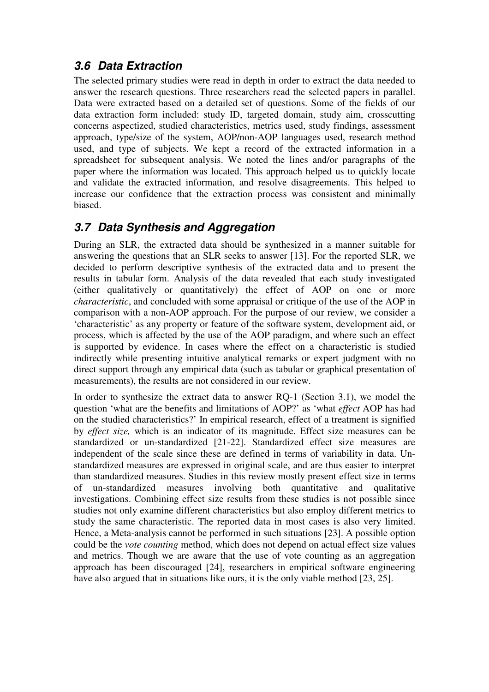### **3.6 Data Extraction**

The selected primary studies were read in depth in order to extract the data needed to answer the research questions. Three researchers read the selected papers in parallel. Data were extracted based on a detailed set of questions. Some of the fields of our data extraction form included: study ID, targeted domain, study aim, crosscutting concerns aspectized, studied characteristics, metrics used, study findings, assessment approach, type/size of the system, AOP/non-AOP languages used, research method used, and type of subjects. We kept a record of the extracted information in a spreadsheet for subsequent analysis. We noted the lines and/or paragraphs of the paper where the information was located. This approach helped us to quickly locate and validate the extracted information, and resolve disagreements. This helped to increase our confidence that the extraction process was consistent and minimally biased.

### **3.7 Data Synthesis and Aggregation**

During an SLR, the extracted data should be synthesized in a manner suitable for answering the questions that an SLR seeks to answer [13]. For the reported SLR, we decided to perform descriptive synthesis of the extracted data and to present the results in tabular form. Analysis of the data revealed that each study investigated (either qualitatively or quantitatively) the effect of AOP on one or more *characteristic*, and concluded with some appraisal or critique of the use of the AOP in comparison with a non-AOP approach. For the purpose of our review, we consider a 'characteristic' as any property or feature of the software system, development aid, or process, which is affected by the use of the AOP paradigm, and where such an effect is supported by evidence. In cases where the effect on a characteristic is studied indirectly while presenting intuitive analytical remarks or expert judgment with no direct support through any empirical data (such as tabular or graphical presentation of measurements), the results are not considered in our review.

In order to synthesize the extract data to answer RQ-1 (Section 3.1), we model the question 'what are the benefits and limitations of AOP?' as 'what *effect* AOP has had on the studied characteristics?' In empirical research, effect of a treatment is signified by *effect size,* which is an indicator of its magnitude. Effect size measures can be standardized or un-standardized [21-22]. Standardized effect size measures are independent of the scale since these are defined in terms of variability in data. Unstandardized measures are expressed in original scale, and are thus easier to interpret than standardized measures. Studies in this review mostly present effect size in terms of un-standardized measures involving both quantitative and qualitative investigations. Combining effect size results from these studies is not possible since studies not only examine different characteristics but also employ different metrics to study the same characteristic. The reported data in most cases is also very limited. Hence, a Meta-analysis cannot be performed in such situations [23]. A possible option could be the *vote counting* method, which does not depend on actual effect size values and metrics. Though we are aware that the use of vote counting as an aggregation approach has been discouraged [24], researchers in empirical software engineering have also argued that in situations like ours, it is the only viable method [23, 25].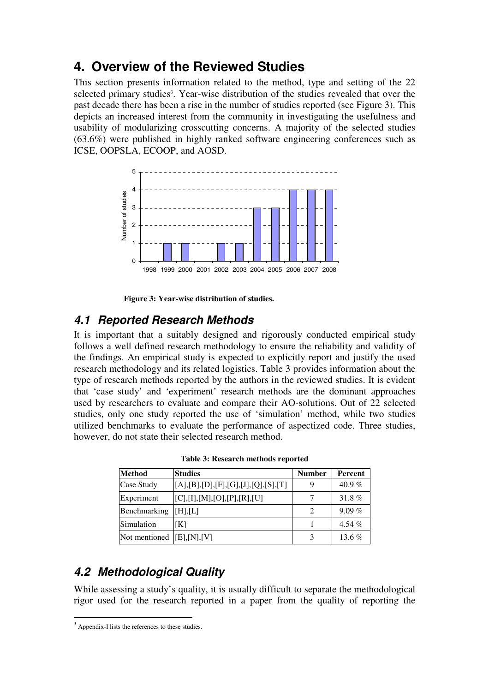## **4. Overview of the Reviewed Studies**

This section presents information related to the method, type and setting of the 22 selected primary studies<sup>3</sup>. Year-wise distribution of the studies revealed that over the past decade there has been a rise in the number of studies reported (see Figure 3). This depicts an increased interest from the community in investigating the usefulness and usability of modularizing crosscutting concerns. A majority of the selected studies (63.6%) were published in highly ranked software engineering conferences such as ICSE, OOPSLA, ECOOP, and AOSD.



**Figure 3: Year-wise distribution of studies.** 

### **4.1 Reported Research Methods**

It is important that a suitably designed and rigorously conducted empirical study follows a well defined research methodology to ensure the reliability and validity of the findings. An empirical study is expected to explicitly report and justify the used research methodology and its related logistics. Table 3 provides information about the type of research methods reported by the authors in the reviewed studies. It is evident that 'case study' and 'experiment' research methods are the dominant approaches used by researchers to evaluate and compare their AO-solutions. Out of 22 selected studies, only one study reported the use of 'simulation' method, while two studies utilized benchmarks to evaluate the performance of aspectized code. Three studies, however, do not state their selected research method.

| Method                      | <b>Studies</b>                        | <b>Number</b>               | Percent   |
|-----------------------------|---------------------------------------|-----------------------------|-----------|
| Case Study                  | [(A],[B],[D],[F],[G],[J],[Q],[S],[T]] |                             | 40.9 %    |
| Experiment                  | [[C],[I],[M],[O],[P],[R],[U]]         |                             | 31.8%     |
| Benchmarking                | [[H],[L]                              | $\mathcal{D}_{\mathcal{A}}$ | 9.09%     |
| Simulation                  | K)                                    |                             | 4.54 $%$  |
| Not mentioned $[E],[N],[V]$ |                                       |                             | $13.6 \%$ |

**Table 3: Research methods reported** 

### **4.2 Methodological Quality**

While assessing a study's quality, it is usually difficult to separate the methodological rigor used for the research reported in a paper from the quality of reporting the

 $\overline{a}$ <sup>3</sup> Appendix-I lists the references to these studies.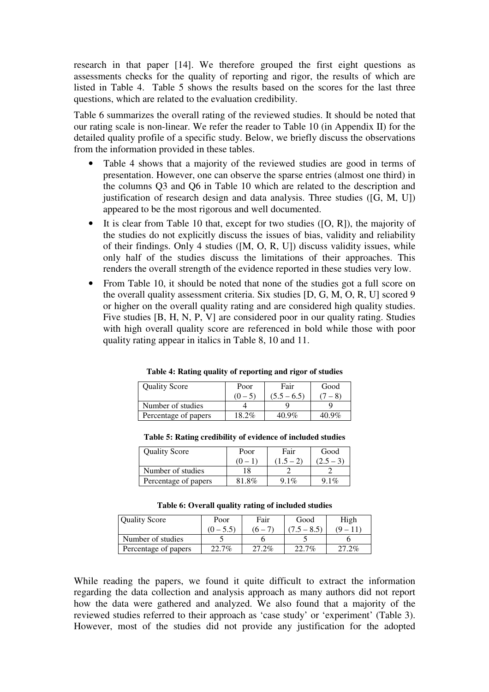research in that paper [14]. We therefore grouped the first eight questions as assessments checks for the quality of reporting and rigor, the results of which are listed in Table 4. Table 5 shows the results based on the scores for the last three questions, which are related to the evaluation credibility.

Table 6 summarizes the overall rating of the reviewed studies. It should be noted that our rating scale is non-linear. We refer the reader to Table 10 (in Appendix II) for the detailed quality profile of a specific study. Below, we briefly discuss the observations from the information provided in these tables.

- Table 4 shows that a majority of the reviewed studies are good in terms of presentation. However, one can observe the sparse entries (almost one third) in the columns Q3 and Q6 in Table 10 which are related to the description and justification of research design and data analysis. Three studies ([G, M, U]) appeared to be the most rigorous and well documented.
- It is clear from Table 10 that, except for two studies  $([O, R])$ , the majority of the studies do not explicitly discuss the issues of bias, validity and reliability of their findings. Only 4 studies ([M, O, R, U]) discuss validity issues, while only half of the studies discuss the limitations of their approaches. This renders the overall strength of the evidence reported in these studies very low.
- From Table 10, it should be noted that none of the studies got a full score on the overall quality assessment criteria. Six studies [D, G, M, O, R, U] scored 9 or higher on the overall quality rating and are considered high quality studies. Five studies [B, H, N, P, V] are considered poor in our quality rating. Studies with high overall quality score are referenced in bold while those with poor quality rating appear in italics in Table 8, 10 and 11.

| <b>Quality Score</b> | Poor  | Fair          | Good  |
|----------------------|-------|---------------|-------|
|                      |       | $(5.5 - 6.5)$ |       |
| Number of studies    |       |               |       |
| Percentage of papers | 18.2% | 40 9%         | 10 ዓሜ |

**Table 4: Rating quality of reporting and rigor of studies**

| Table 5. Rathle Creatblifty of Cyfaeliec of Illefauca Staules |           |             |             |  |  |  |
|---------------------------------------------------------------|-----------|-------------|-------------|--|--|--|
| <b>Quality Score</b><br>Fair<br>Good<br>Poor                  |           |             |             |  |  |  |
|                                                               | $(0 - 1)$ | $(1.5 - 2)$ | $(2.5 - 3)$ |  |  |  |
| Number of studies                                             | 18        |             |             |  |  |  |
| Percentage of papers                                          | 81.8%     | $9.1\%$     | $9.1\%$     |  |  |  |

| Table 6: Overall quality rating of included studies |      |      |      |    |
|-----------------------------------------------------|------|------|------|----|
| v Score                                             | Poor | Fair | Good | Hi |

| Quality Score        | Poor        | Fair      | Good           | High |
|----------------------|-------------|-----------|----------------|------|
|                      | $(0 - 5.5)$ | $(6 - 7)$ | $(7.5 - 8.5)$  |      |
| Number of studies    |             |           |                |      |
| Percentage of papers | $2.7\%$     | 2%        | 22. T <i>%</i> | 2%   |

While reading the papers, we found it quite difficult to extract the information regarding the data collection and analysis approach as many authors did not report how the data were gathered and analyzed. We also found that a majority of the reviewed studies referred to their approach as 'case study' or 'experiment' (Table 3). However, most of the studies did not provide any justification for the adopted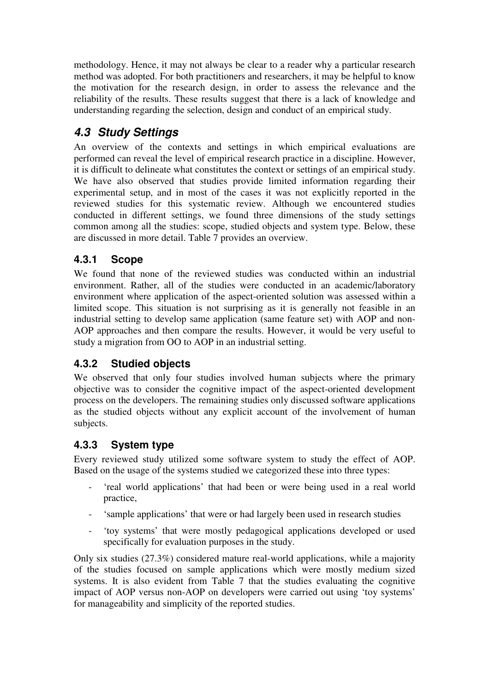methodology. Hence, it may not always be clear to a reader why a particular research method was adopted. For both practitioners and researchers, it may be helpful to know the motivation for the research design, in order to assess the relevance and the reliability of the results. These results suggest that there is a lack of knowledge and understanding regarding the selection, design and conduct of an empirical study.

# **4.3 Study Settings**

An overview of the contexts and settings in which empirical evaluations are performed can reveal the level of empirical research practice in a discipline. However, it is difficult to delineate what constitutes the context or settings of an empirical study. We have also observed that studies provide limited information regarding their experimental setup, and in most of the cases it was not explicitly reported in the reviewed studies for this systematic review. Although we encountered studies conducted in different settings, we found three dimensions of the study settings common among all the studies: scope, studied objects and system type. Below, these are discussed in more detail. Table 7 provides an overview.

### **4.3.1 Scope**

We found that none of the reviewed studies was conducted within an industrial environment. Rather, all of the studies were conducted in an academic/laboratory environment where application of the aspect-oriented solution was assessed within a limited scope. This situation is not surprising as it is generally not feasible in an industrial setting to develop same application (same feature set) with AOP and non-AOP approaches and then compare the results. However, it would be very useful to study a migration from OO to AOP in an industrial setting.

### **4.3.2 Studied objects**

We observed that only four studies involved human subjects where the primary objective was to consider the cognitive impact of the aspect-oriented development process on the developers. The remaining studies only discussed software applications as the studied objects without any explicit account of the involvement of human subjects.

### **4.3.3 System type**

Every reviewed study utilized some software system to study the effect of AOP. Based on the usage of the systems studied we categorized these into three types:

- 'real world applications' that had been or were being used in a real world practice,
- 'sample applications' that were or had largely been used in research studies
- 'toy systems' that were mostly pedagogical applications developed or used specifically for evaluation purposes in the study.

Only six studies (27.3%) considered mature real-world applications, while a majority of the studies focused on sample applications which were mostly medium sized systems. It is also evident from Table 7 that the studies evaluating the cognitive impact of AOP versus non-AOP on developers were carried out using 'toy systems' for manageability and simplicity of the reported studies.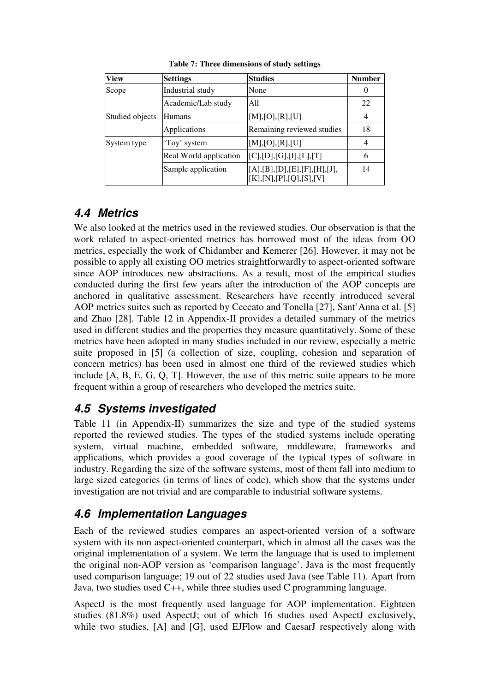| <b>View</b>               | <b>Settings</b>        | <b>Studies</b>                                          | <b>Number</b> |
|---------------------------|------------------------|---------------------------------------------------------|---------------|
| Scope                     | Industrial study       | None                                                    | $\theta$      |
|                           | Academic/Lab study     | A11                                                     | 22            |
| Studied objects<br>Humans |                        | [M],[O],[R],[U]                                         | 4             |
|                           | Applications           | Remaining reviewed studies                              | 18            |
| System type               | 'Toy' system           | [M],[O],[R],[U]                                         | 4             |
|                           | Real World application | [C],[D],[G],[I],[L],[T]                                 | 6             |
|                           | Sample application     | [A],[B],[D],[E],[F],[H],[J],<br>[K],[N],[P],[Q],[S],[V] | 14            |

**Table 7: Three dimensions of study settings**

### **4.4 Metrics**

We also looked at the metrics used in the reviewed studies. Our observation is that the work related to aspect-oriented metrics has borrowed most of the ideas from OO metrics, especially the work of Chidamber and Kemerer [26]. However, it may not be possible to apply all existing OO metrics straightforwardly to aspect-oriented software since AOP introduces new abstractions. As a result, most of the empirical studies conducted during the first few years after the introduction of the AOP concepts are anchored in qualitative assessment. Researchers have recently introduced several AOP metrics suites such as reported by Ceccato and Tonella [27], Sant'Anna et al. [5] and Zhao [28]. Table 12 in Appendix-II provides a detailed summary of the metrics used in different studies and the properties they measure quantitatively. Some of these metrics have been adopted in many studies included in our review, especially a metric suite proposed in [5] (a collection of size, coupling, cohesion and separation of concern metrics) has been used in almost one third of the reviewed studies which include [A, B, E, G, Q, T]. However, the use of this metric suite appears to be more frequent within a group of researchers who developed the metrics suite.

### **4.5 Systems investigated**

Table 11 (in Appendix-II) summarizes the size and type of the studied systems reported the reviewed studies. The types of the studied systems include operating system, virtual machine, embedded software, middleware, frameworks and applications, which provides a good coverage of the typical types of software in industry. Regarding the size of the software systems, most of them fall into medium to large sized categories (in terms of lines of code), which show that the systems under investigation are not trivial and are comparable to industrial software systems.

### **4.6 Implementation Languages**

Each of the reviewed studies compares an aspect-oriented version of a software system with its non aspect-oriented counterpart, which in almost all the cases was the original implementation of a system. We term the language that is used to implement the original non-AOP version as 'comparison language'. Java is the most frequently used comparison language; 19 out of 22 studies used Java (see Table 11). Apart from Java, two studies used C++, while three studies used C programming language.

AspectJ is the most frequently used language for AOP implementation. Eighteen studies (81.8%) used AspectJ; out of which 16 studies used AspectJ exclusively, while two studies, [A] and [G], used EJFlow and CaesarJ respectively along with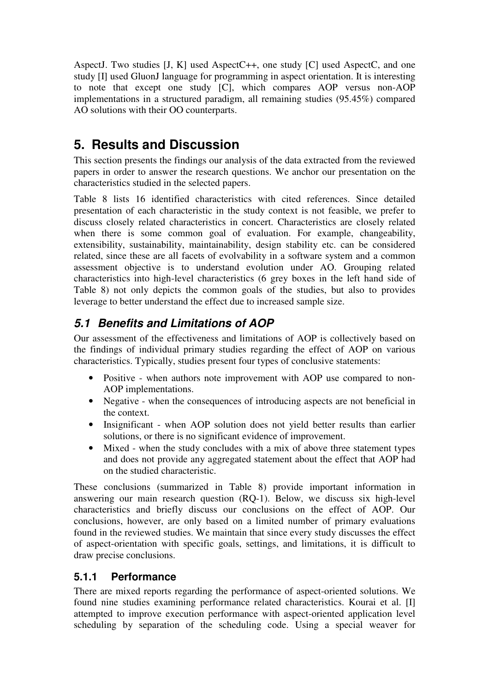AspectJ. Two studies [J, K] used AspectC++, one study [C] used AspectC, and one study [I] used GluonJ language for programming in aspect orientation. It is interesting to note that except one study [C], which compares AOP versus non-AOP implementations in a structured paradigm, all remaining studies (95.45%) compared AO solutions with their OO counterparts.

# **5. Results and Discussion**

This section presents the findings our analysis of the data extracted from the reviewed papers in order to answer the research questions. We anchor our presentation on the characteristics studied in the selected papers.

Table 8 lists 16 identified characteristics with cited references. Since detailed presentation of each characteristic in the study context is not feasible, we prefer to discuss closely related characteristics in concert. Characteristics are closely related when there is some common goal of evaluation. For example, changeability, extensibility, sustainability, maintainability, design stability etc. can be considered related, since these are all facets of evolvability in a software system and a common assessment objective is to understand evolution under AO. Grouping related characteristics into high-level characteristics (6 grey boxes in the left hand side of Table 8) not only depicts the common goals of the studies, but also to provides leverage to better understand the effect due to increased sample size.

### **5.1 Benefits and Limitations of AOP**

Our assessment of the effectiveness and limitations of AOP is collectively based on the findings of individual primary studies regarding the effect of AOP on various characteristics. Typically, studies present four types of conclusive statements:

- Positive when authors note improvement with AOP use compared to non-AOP implementations.
- Negative when the consequences of introducing aspects are not beneficial in the context.
- Insignificant when AOP solution does not yield better results than earlier solutions, or there is no significant evidence of improvement.
- Mixed when the study concludes with a mix of above three statement types and does not provide any aggregated statement about the effect that AOP had on the studied characteristic.

These conclusions (summarized in Table 8) provide important information in answering our main research question (RQ-1). Below, we discuss six high-level characteristics and briefly discuss our conclusions on the effect of AOP. Our conclusions, however, are only based on a limited number of primary evaluations found in the reviewed studies. We maintain that since every study discusses the effect of aspect-orientation with specific goals, settings, and limitations, it is difficult to draw precise conclusions.

#### **5.1.1 Performance**

There are mixed reports regarding the performance of aspect-oriented solutions. We found nine studies examining performance related characteristics. Kourai et al. [I] attempted to improve execution performance with aspect-oriented application level scheduling by separation of the scheduling code. Using a special weaver for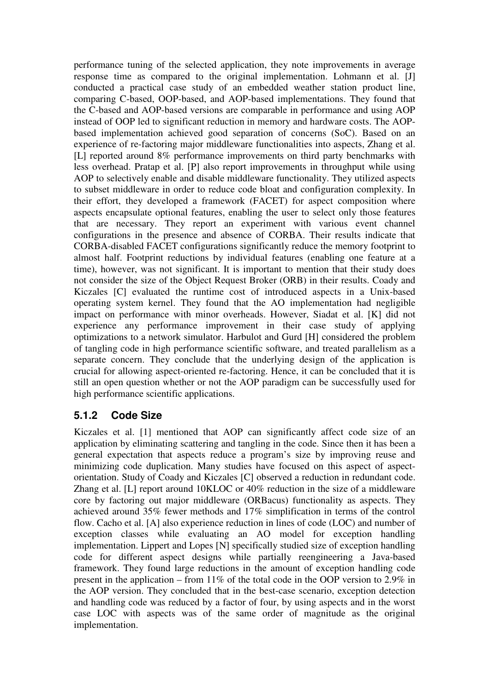performance tuning of the selected application, they note improvements in average response time as compared to the original implementation. Lohmann et al. [J] conducted a practical case study of an embedded weather station product line, comparing C-based, OOP-based, and AOP-based implementations. They found that the C-based and AOP-based versions are comparable in performance and using AOP instead of OOP led to significant reduction in memory and hardware costs. The AOPbased implementation achieved good separation of concerns (SoC). Based on an experience of re-factoring major middleware functionalities into aspects, Zhang et al. [L] reported around 8% performance improvements on third party benchmarks with less overhead. Pratap et al. [P] also report improvements in throughput while using AOP to selectively enable and disable middleware functionality. They utilized aspects to subset middleware in order to reduce code bloat and configuration complexity. In their effort, they developed a framework (FACET) for aspect composition where aspects encapsulate optional features, enabling the user to select only those features that are necessary. They report an experiment with various event channel configurations in the presence and absence of CORBA. Their results indicate that CORBA-disabled FACET configurations significantly reduce the memory footprint to almost half. Footprint reductions by individual features (enabling one feature at a time), however, was not significant. It is important to mention that their study does not consider the size of the Object Request Broker (ORB) in their results. Coady and Kiczales [C] evaluated the runtime cost of introduced aspects in a Unix-based operating system kernel. They found that the AO implementation had negligible impact on performance with minor overheads. However, Siadat et al. [K] did not experience any performance improvement in their case study of applying optimizations to a network simulator. Harbulot and Gurd [H] considered the problem of tangling code in high performance scientific software, and treated parallelism as a separate concern. They conclude that the underlying design of the application is crucial for allowing aspect-oriented re-factoring. Hence, it can be concluded that it is still an open question whether or not the AOP paradigm can be successfully used for high performance scientific applications.

#### **5.1.2 Code Size**

Kiczales et al. [1] mentioned that AOP can significantly affect code size of an application by eliminating scattering and tangling in the code. Since then it has been a general expectation that aspects reduce a program's size by improving reuse and minimizing code duplication. Many studies have focused on this aspect of aspectorientation. Study of Coady and Kiczales [C] observed a reduction in redundant code. Zhang et al. [L] report around 10KLOC or 40% reduction in the size of a middleware core by factoring out major middleware (ORBacus) functionality as aspects. They achieved around 35% fewer methods and 17% simplification in terms of the control flow. Cacho et al. [A] also experience reduction in lines of code (LOC) and number of exception classes while evaluating an AO model for exception handling implementation. Lippert and Lopes [N] specifically studied size of exception handling code for different aspect designs while partially reengineering a Java-based framework. They found large reductions in the amount of exception handling code present in the application – from 11% of the total code in the OOP version to 2.9% in the AOP version. They concluded that in the best-case scenario, exception detection and handling code was reduced by a factor of four, by using aspects and in the worst case LOC with aspects was of the same order of magnitude as the original implementation.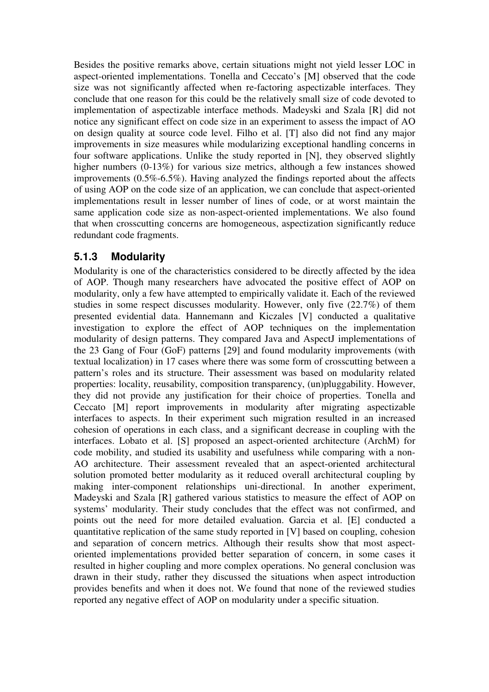Besides the positive remarks above, certain situations might not yield lesser LOC in aspect-oriented implementations. Tonella and Ceccato's [M] observed that the code size was not significantly affected when re-factoring aspectizable interfaces. They conclude that one reason for this could be the relatively small size of code devoted to implementation of aspectizable interface methods. Madeyski and Szala [R] did not notice any significant effect on code size in an experiment to assess the impact of AO on design quality at source code level. Filho et al. [T] also did not find any major improvements in size measures while modularizing exceptional handling concerns in four software applications. Unlike the study reported in [N], they observed slightly higher numbers (0-13%) for various size metrics, although a few instances showed improvements (0.5%-6.5%). Having analyzed the findings reported about the affects of using AOP on the code size of an application, we can conclude that aspect-oriented implementations result in lesser number of lines of code, or at worst maintain the same application code size as non-aspect-oriented implementations. We also found that when crosscutting concerns are homogeneous, aspectization significantly reduce redundant code fragments.

#### **5.1.3 Modularity**

Modularity is one of the characteristics considered to be directly affected by the idea of AOP. Though many researchers have advocated the positive effect of AOP on modularity, only a few have attempted to empirically validate it. Each of the reviewed studies in some respect discusses modularity. However, only five (22.7%) of them presented evidential data. Hannemann and Kiczales [V] conducted a qualitative investigation to explore the effect of AOP techniques on the implementation modularity of design patterns. They compared Java and AspectJ implementations of the 23 Gang of Four (GoF) patterns [29] and found modularity improvements (with textual localization) in 17 cases where there was some form of crosscutting between a pattern's roles and its structure. Their assessment was based on modularity related properties: locality, reusability, composition transparency, (un)pluggability. However, they did not provide any justification for their choice of properties. Tonella and Ceccato [M] report improvements in modularity after migrating aspectizable interfaces to aspects. In their experiment such migration resulted in an increased cohesion of operations in each class, and a significant decrease in coupling with the interfaces. Lobato et al. [S] proposed an aspect-oriented architecture (ArchM) for code mobility, and studied its usability and usefulness while comparing with a non-AO architecture. Their assessment revealed that an aspect-oriented architectural solution promoted better modularity as it reduced overall architectural coupling by making inter-component relationships uni-directional. In another experiment, Madeyski and Szala [R] gathered various statistics to measure the effect of AOP on systems' modularity. Their study concludes that the effect was not confirmed, and points out the need for more detailed evaluation. Garcia et al. [E] conducted a quantitative replication of the same study reported in [V] based on coupling, cohesion and separation of concern metrics. Although their results show that most aspectoriented implementations provided better separation of concern, in some cases it resulted in higher coupling and more complex operations. No general conclusion was drawn in their study, rather they discussed the situations when aspect introduction provides benefits and when it does not. We found that none of the reviewed studies reported any negative effect of AOP on modularity under a specific situation.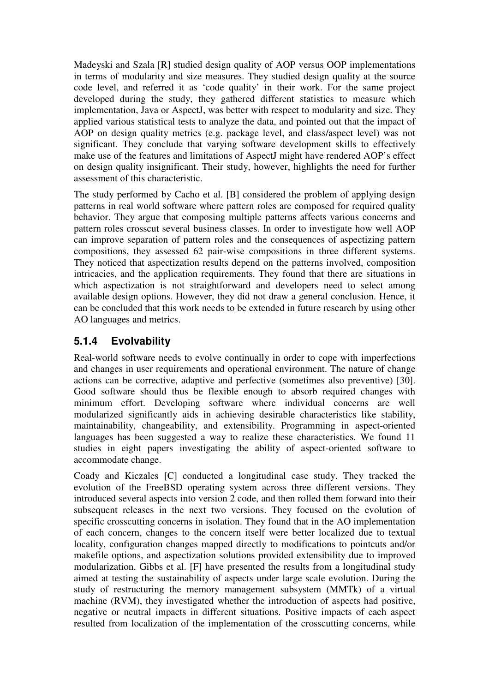Madeyski and Szala [R] studied design quality of AOP versus OOP implementations in terms of modularity and size measures. They studied design quality at the source code level, and referred it as 'code quality' in their work. For the same project developed during the study, they gathered different statistics to measure which implementation, Java or AspectJ, was better with respect to modularity and size. They applied various statistical tests to analyze the data, and pointed out that the impact of AOP on design quality metrics (e.g. package level, and class/aspect level) was not significant. They conclude that varying software development skills to effectively make use of the features and limitations of AspectJ might have rendered AOP's effect on design quality insignificant. Their study, however, highlights the need for further assessment of this characteristic.

The study performed by Cacho et al. [B] considered the problem of applying design patterns in real world software where pattern roles are composed for required quality behavior. They argue that composing multiple patterns affects various concerns and pattern roles crosscut several business classes. In order to investigate how well AOP can improve separation of pattern roles and the consequences of aspectizing pattern compositions, they assessed 62 pair-wise compositions in three different systems. They noticed that aspectization results depend on the patterns involved, composition intricacies, and the application requirements. They found that there are situations in which aspectization is not straightforward and developers need to select among available design options. However, they did not draw a general conclusion. Hence, it can be concluded that this work needs to be extended in future research by using other AO languages and metrics.

#### **5.1.4 Evolvability**

Real-world software needs to evolve continually in order to cope with imperfections and changes in user requirements and operational environment. The nature of change actions can be corrective, adaptive and perfective (sometimes also preventive) [30]. Good software should thus be flexible enough to absorb required changes with minimum effort. Developing software where individual concerns are well modularized significantly aids in achieving desirable characteristics like stability, maintainability, changeability, and extensibility. Programming in aspect-oriented languages has been suggested a way to realize these characteristics. We found 11 studies in eight papers investigating the ability of aspect-oriented software to accommodate change.

Coady and Kiczales [C] conducted a longitudinal case study. They tracked the evolution of the FreeBSD operating system across three different versions. They introduced several aspects into version 2 code, and then rolled them forward into their subsequent releases in the next two versions. They focused on the evolution of specific crosscutting concerns in isolation. They found that in the AO implementation of each concern, changes to the concern itself were better localized due to textual locality, configuration changes mapped directly to modifications to pointcuts and/or makefile options, and aspectization solutions provided extensibility due to improved modularization. Gibbs et al. [F] have presented the results from a longitudinal study aimed at testing the sustainability of aspects under large scale evolution. During the study of restructuring the memory management subsystem (MMTk) of a virtual machine (RVM), they investigated whether the introduction of aspects had positive, negative or neutral impacts in different situations. Positive impacts of each aspect resulted from localization of the implementation of the crosscutting concerns, while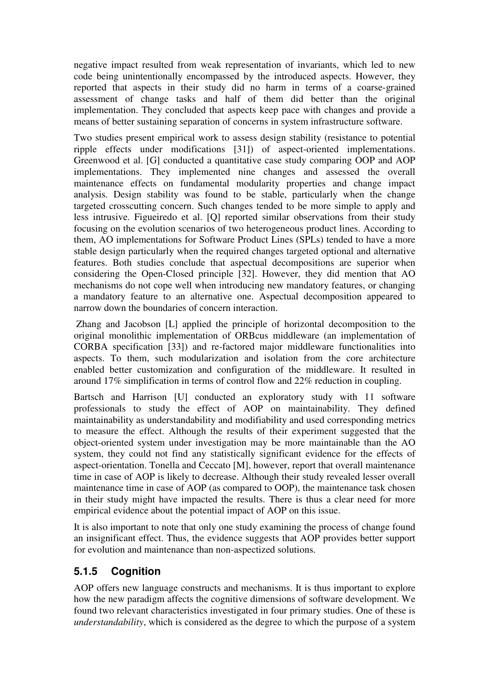negative impact resulted from weak representation of invariants, which led to new code being unintentionally encompassed by the introduced aspects. However, they reported that aspects in their study did no harm in terms of a coarse-grained assessment of change tasks and half of them did better than the original implementation. They concluded that aspects keep pace with changes and provide a means of better sustaining separation of concerns in system infrastructure software.

Two studies present empirical work to assess design stability (resistance to potential ripple effects under modifications [31]) of aspect-oriented implementations. Greenwood et al. [G] conducted a quantitative case study comparing OOP and AOP implementations. They implemented nine changes and assessed the overall maintenance effects on fundamental modularity properties and change impact analysis. Design stability was found to be stable, particularly when the change targeted crosscutting concern. Such changes tended to be more simple to apply and less intrusive. Figueiredo et al. [Q] reported similar observations from their study focusing on the evolution scenarios of two heterogeneous product lines. According to them, AO implementations for Software Product Lines (SPLs) tended to have a more stable design particularly when the required changes targeted optional and alternative features. Both studies conclude that aspectual decompositions are superior when considering the Open-Closed principle [32]. However, they did mention that AO mechanisms do not cope well when introducing new mandatory features, or changing a mandatory feature to an alternative one. Aspectual decomposition appeared to narrow down the boundaries of concern interaction.

 Zhang and Jacobson [L] applied the principle of horizontal decomposition to the original monolithic implementation of ORBcus middleware (an implementation of CORBA specification [33]) and re-factored major middleware functionalities into aspects. To them, such modularization and isolation from the core architecture enabled better customization and configuration of the middleware. It resulted in around 17% simplification in terms of control flow and 22% reduction in coupling.

Bartsch and Harrison [U] conducted an exploratory study with 11 software professionals to study the effect of AOP on maintainability. They defined maintainability as understandability and modifiability and used corresponding metrics to measure the effect. Although the results of their experiment suggested that the object-oriented system under investigation may be more maintainable than the AO system, they could not find any statistically significant evidence for the effects of aspect-orientation. Tonella and Ceccato [M], however, report that overall maintenance time in case of AOP is likely to decrease. Although their study revealed lesser overall maintenance time in case of AOP (as compared to OOP), the maintenance task chosen in their study might have impacted the results. There is thus a clear need for more empirical evidence about the potential impact of AOP on this issue.

It is also important to note that only one study examining the process of change found an insignificant effect. Thus, the evidence suggests that AOP provides better support for evolution and maintenance than non-aspectized solutions.

#### **5.1.5 Cognition**

AOP offers new language constructs and mechanisms. It is thus important to explore how the new paradigm affects the cognitive dimensions of software development. We found two relevant characteristics investigated in four primary studies. One of these is *understandability*, which is considered as the degree to which the purpose of a system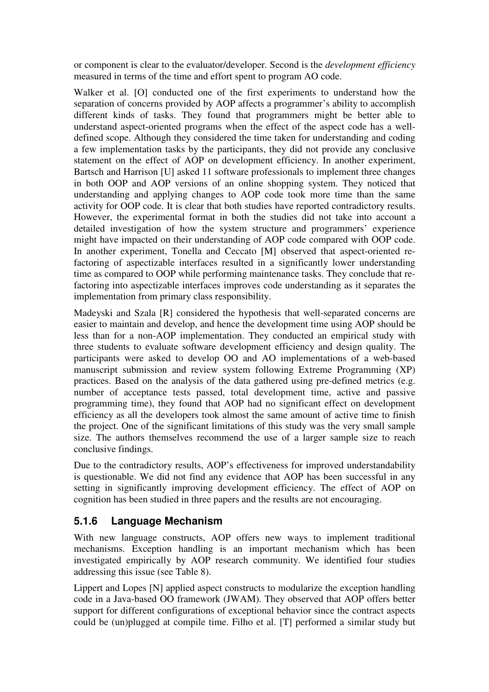or component is clear to the evaluator/developer. Second is the *development efficiency*  measured in terms of the time and effort spent to program AO code.

Walker et al. [O] conducted one of the first experiments to understand how the separation of concerns provided by AOP affects a programmer's ability to accomplish different kinds of tasks. They found that programmers might be better able to understand aspect-oriented programs when the effect of the aspect code has a welldefined scope. Although they considered the time taken for understanding and coding a few implementation tasks by the participants, they did not provide any conclusive statement on the effect of AOP on development efficiency. In another experiment, Bartsch and Harrison [U] asked 11 software professionals to implement three changes in both OOP and AOP versions of an online shopping system. They noticed that understanding and applying changes to AOP code took more time than the same activity for OOP code. It is clear that both studies have reported contradictory results. However, the experimental format in both the studies did not take into account a detailed investigation of how the system structure and programmers' experience might have impacted on their understanding of AOP code compared with OOP code. In another experiment, Tonella and Ceccato [M] observed that aspect-oriented refactoring of aspectizable interfaces resulted in a significantly lower understanding time as compared to OOP while performing maintenance tasks. They conclude that refactoring into aspectizable interfaces improves code understanding as it separates the implementation from primary class responsibility.

Madeyski and Szala [R] considered the hypothesis that well-separated concerns are easier to maintain and develop, and hence the development time using AOP should be less than for a non-AOP implementation. They conducted an empirical study with three students to evaluate software development efficiency and design quality. The participants were asked to develop OO and AO implementations of a web-based manuscript submission and review system following Extreme Programming (XP) practices. Based on the analysis of the data gathered using pre-defined metrics (e.g. number of acceptance tests passed, total development time, active and passive programming time), they found that AOP had no significant effect on development efficiency as all the developers took almost the same amount of active time to finish the project. One of the significant limitations of this study was the very small sample size. The authors themselves recommend the use of a larger sample size to reach conclusive findings.

Due to the contradictory results, AOP's effectiveness for improved understandability is questionable. We did not find any evidence that AOP has been successful in any setting in significantly improving development efficiency. The effect of AOP on cognition has been studied in three papers and the results are not encouraging.

#### **5.1.6 Language Mechanism**

With new language constructs, AOP offers new ways to implement traditional mechanisms. Exception handling is an important mechanism which has been investigated empirically by AOP research community. We identified four studies addressing this issue (see Table 8).

Lippert and Lopes [N] applied aspect constructs to modularize the exception handling code in a Java-based OO framework (JWAM). They observed that AOP offers better support for different configurations of exceptional behavior since the contract aspects could be (un)plugged at compile time. Filho et al. [T] performed a similar study but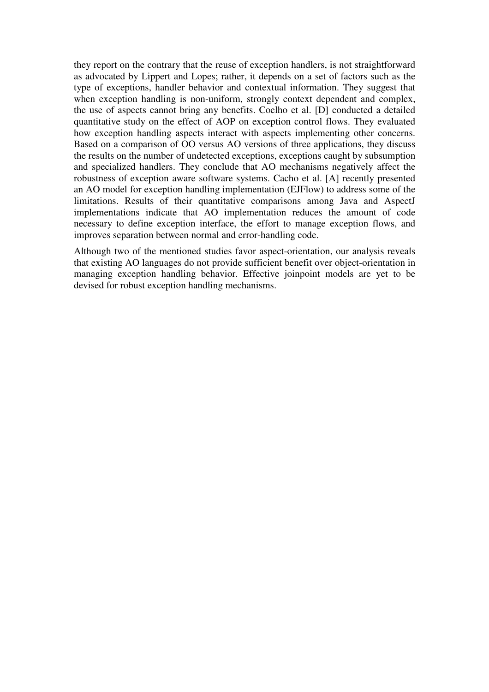they report on the contrary that the reuse of exception handlers, is not straightforward as advocated by Lippert and Lopes; rather, it depends on a set of factors such as the type of exceptions, handler behavior and contextual information. They suggest that when exception handling is non-uniform, strongly context dependent and complex, the use of aspects cannot bring any benefits. Coelho et al. [D] conducted a detailed quantitative study on the effect of AOP on exception control flows. They evaluated how exception handling aspects interact with aspects implementing other concerns. Based on a comparison of OO versus AO versions of three applications, they discuss the results on the number of undetected exceptions, exceptions caught by subsumption and specialized handlers. They conclude that AO mechanisms negatively affect the robustness of exception aware software systems. Cacho et al. [A] recently presented an AO model for exception handling implementation (EJFlow) to address some of the limitations. Results of their quantitative comparisons among Java and AspectJ implementations indicate that AO implementation reduces the amount of code necessary to define exception interface, the effort to manage exception flows, and improves separation between normal and error-handling code.

Although two of the mentioned studies favor aspect-orientation, our analysis reveals that existing AO languages do not provide sufficient benefit over object-orientation in managing exception handling behavior. Effective joinpoint models are yet to be devised for robust exception handling mechanisms.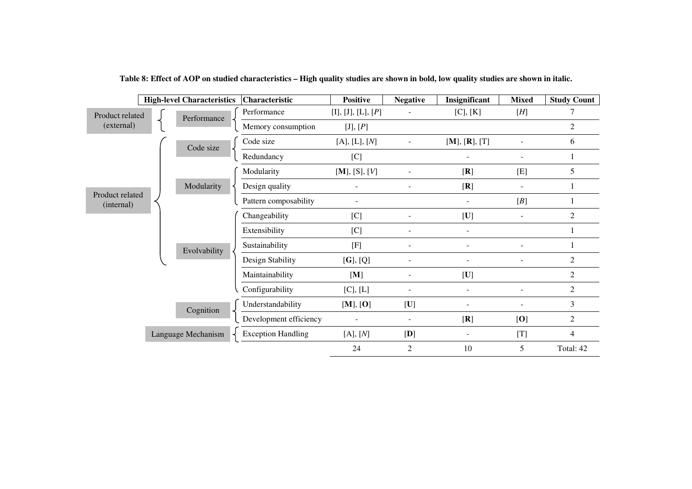|                               |                    | <b>High-level Characteristics</b> |  | Characteristic            | <b>Positive</b>    | <b>Negative</b>          | Insignificant            | <b>Mixed</b>                                                                                                                                                                                                                                              | <b>Study Count</b> |
|-------------------------------|--------------------|-----------------------------------|--|---------------------------|--------------------|--------------------------|--------------------------|-----------------------------------------------------------------------------------------------------------------------------------------------------------------------------------------------------------------------------------------------------------|--------------------|
| Product related               |                    | Performance                       |  | Performance               | [I], [J], [L], [P] |                          | [C], [K]                 | $[H] \centering% \includegraphics[width=1.0\textwidth]{Figures/PN1.png} \caption{The 3D (top) and the 4D (bottom) of the 3D (bottom) and the 4D (bottom) of the 3D (bottom) and the 4D (bottom) of the 3D (bottom) of the 3D (bottom).} \label{fig:SPN1}$ | 7                  |
| (external)                    |                    |                                   |  | Memory consumption        | [J], [P]           |                          |                          |                                                                                                                                                                                                                                                           | $\mathfrak{2}$     |
| Product related<br>(internal) |                    | Code size                         |  | Code size                 | [A], [L], [N]      |                          | [M], [R], [T]            |                                                                                                                                                                                                                                                           | 6                  |
|                               |                    |                                   |  | Redundancy                | [C]                |                          |                          | $\overline{\phantom{a}}$                                                                                                                                                                                                                                  |                    |
|                               |                    | Modularity                        |  | Modularity                | [M], [S], [V]      |                          | [R]                      | [E]                                                                                                                                                                                                                                                       | 5                  |
|                               |                    |                                   |  | Design quality            | ٠                  | $\overline{\phantom{m}}$ | [R]                      | $\blacksquare$                                                                                                                                                                                                                                            |                    |
|                               |                    |                                   |  | Pattern composability     | $\overline{a}$     |                          | -                        | [B]                                                                                                                                                                                                                                                       |                    |
|                               |                    | Evolvability                      |  | Changeability             | [C]                | -                        | [U]                      | $\blacksquare$                                                                                                                                                                                                                                            | 2                  |
|                               |                    |                                   |  | Extensibility             | [C]                | ۰                        | ۰                        |                                                                                                                                                                                                                                                           |                    |
|                               |                    |                                   |  | Sustainability            | [F]                | ۰                        | ۰                        |                                                                                                                                                                                                                                                           |                    |
|                               |                    |                                   |  | Design Stability          | [G], [Q]           | $\overline{a}$           | $\overline{\phantom{a}}$ | $\overline{\phantom{a}}$                                                                                                                                                                                                                                  | $\overline{2}$     |
|                               |                    |                                   |  | Maintainability           | [M]                | $\overline{a}$           | [U]                      |                                                                                                                                                                                                                                                           | $\overline{2}$     |
|                               |                    |                                   |  | Configurability           | [C], [L]           | -                        | ۰                        |                                                                                                                                                                                                                                                           | 2                  |
|                               |                    | Cognition                         |  | Understandability         | [M], [O]           | [U]                      | $\overline{\phantom{0}}$ | $\blacksquare$                                                                                                                                                                                                                                            | 3                  |
|                               |                    |                                   |  | Development efficiency    |                    | $\overline{\phantom{a}}$ | [R]                      | [0]                                                                                                                                                                                                                                                       | $\overline{2}$     |
|                               | Language Mechanism |                                   |  | <b>Exception Handling</b> | [A], [N]           | [D]                      | $\sim$                   | [T]                                                                                                                                                                                                                                                       | 4                  |
|                               |                    |                                   |  |                           | 24                 | 2                        | 10                       | 5                                                                                                                                                                                                                                                         | Total: 42          |

**Table 8: Effect of AOP on studied characteristics – High quality studies are shown in bold, low quality studies are shown in italic.**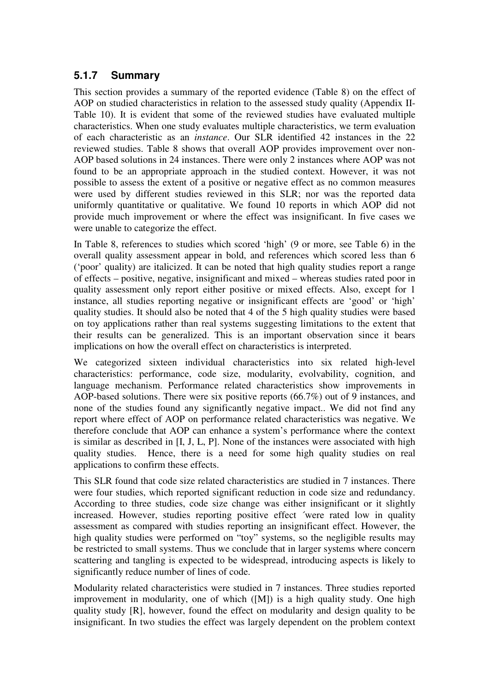#### **5.1.7 Summary**

This section provides a summary of the reported evidence (Table 8) on the effect of AOP on studied characteristics in relation to the assessed study quality (Appendix II-Table 10). It is evident that some of the reviewed studies have evaluated multiple characteristics. When one study evaluates multiple characteristics, we term evaluation of each characteristic as an *instance*. Our SLR identified 42 instances in the 22 reviewed studies. Table 8 shows that overall AOP provides improvement over non-AOP based solutions in 24 instances. There were only 2 instances where AOP was not found to be an appropriate approach in the studied context. However, it was not possible to assess the extent of a positive or negative effect as no common measures were used by different studies reviewed in this SLR; nor was the reported data uniformly quantitative or qualitative. We found 10 reports in which AOP did not provide much improvement or where the effect was insignificant. In five cases we were unable to categorize the effect.

In Table 8, references to studies which scored 'high' (9 or more, see Table 6) in the overall quality assessment appear in bold, and references which scored less than 6 ('poor' quality) are italicized. It can be noted that high quality studies report a range of effects – positive, negative, insignificant and mixed – whereas studies rated poor in quality assessment only report either positive or mixed effects. Also, except for 1 instance, all studies reporting negative or insignificant effects are 'good' or 'high' quality studies. It should also be noted that 4 of the 5 high quality studies were based on toy applications rather than real systems suggesting limitations to the extent that their results can be generalized. This is an important observation since it bears implications on how the overall effect on characteristics is interpreted.

We categorized sixteen individual characteristics into six related high-level characteristics: performance, code size, modularity, evolvability, cognition, and language mechanism. Performance related characteristics show improvements in AOP-based solutions. There were six positive reports (66.7%) out of 9 instances, and none of the studies found any significantly negative impact.. We did not find any report where effect of AOP on performance related characteristics was negative. We therefore conclude that AOP can enhance a system's performance where the context is similar as described in [I, J, L, P]. None of the instances were associated with high quality studies. Hence, there is a need for some high quality studies on real applications to confirm these effects.

This SLR found that code size related characteristics are studied in 7 instances. There were four studies, which reported significant reduction in code size and redundancy. According to three studies, code size change was either insignificant or it slightly increased. However, studies reporting positive effect ´were rated low in quality assessment as compared with studies reporting an insignificant effect. However, the high quality studies were performed on "toy" systems, so the negligible results may be restricted to small systems. Thus we conclude that in larger systems where concern scattering and tangling is expected to be widespread, introducing aspects is likely to significantly reduce number of lines of code.

Modularity related characteristics were studied in 7 instances. Three studies reported improvement in modularity, one of which ([M]) is a high quality study. One high quality study [R], however, found the effect on modularity and design quality to be insignificant. In two studies the effect was largely dependent on the problem context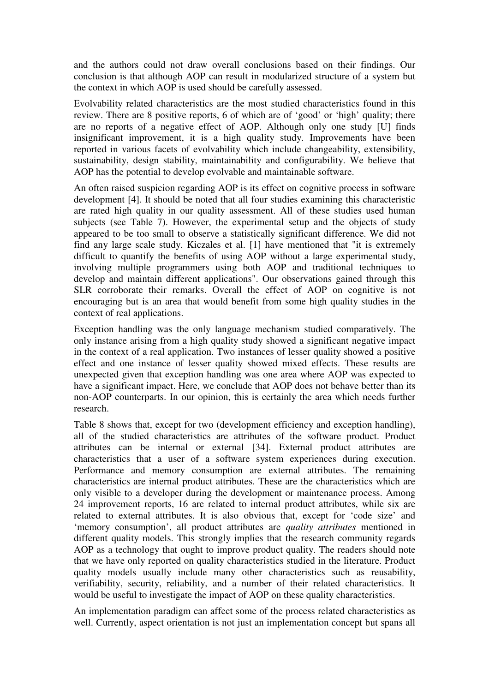and the authors could not draw overall conclusions based on their findings. Our conclusion is that although AOP can result in modularized structure of a system but the context in which AOP is used should be carefully assessed.

Evolvability related characteristics are the most studied characteristics found in this review. There are 8 positive reports, 6 of which are of 'good' or 'high' quality; there are no reports of a negative effect of AOP. Although only one study [U] finds insignificant improvement, it is a high quality study. Improvements have been reported in various facets of evolvability which include changeability, extensibility, sustainability, design stability, maintainability and configurability. We believe that AOP has the potential to develop evolvable and maintainable software.

An often raised suspicion regarding AOP is its effect on cognitive process in software development [4]. It should be noted that all four studies examining this characteristic are rated high quality in our quality assessment. All of these studies used human subjects (see Table 7). However, the experimental setup and the objects of study appeared to be too small to observe a statistically significant difference. We did not find any large scale study. Kiczales et al. [1] have mentioned that "it is extremely difficult to quantify the benefits of using AOP without a large experimental study, involving multiple programmers using both AOP and traditional techniques to develop and maintain different applications". Our observations gained through this SLR corroborate their remarks. Overall the effect of AOP on cognitive is not encouraging but is an area that would benefit from some high quality studies in the context of real applications.

Exception handling was the only language mechanism studied comparatively. The only instance arising from a high quality study showed a significant negative impact in the context of a real application. Two instances of lesser quality showed a positive effect and one instance of lesser quality showed mixed effects. These results are unexpected given that exception handling was one area where AOP was expected to have a significant impact. Here, we conclude that AOP does not behave better than its non-AOP counterparts. In our opinion, this is certainly the area which needs further research.

Table 8 shows that, except for two (development efficiency and exception handling), all of the studied characteristics are attributes of the software product. Product attributes can be internal or external [34]. External product attributes are characteristics that a user of a software system experiences during execution. Performance and memory consumption are external attributes. The remaining characteristics are internal product attributes. These are the characteristics which are only visible to a developer during the development or maintenance process. Among 24 improvement reports, 16 are related to internal product attributes, while six are related to external attributes. It is also obvious that, except for 'code size' and 'memory consumption', all product attributes are *quality attributes* mentioned in different quality models. This strongly implies that the research community regards AOP as a technology that ought to improve product quality. The readers should note that we have only reported on quality characteristics studied in the literature. Product quality models usually include many other characteristics such as reusability, verifiability, security, reliability, and a number of their related characteristics. It would be useful to investigate the impact of AOP on these quality characteristics.

An implementation paradigm can affect some of the process related characteristics as well. Currently, aspect orientation is not just an implementation concept but spans all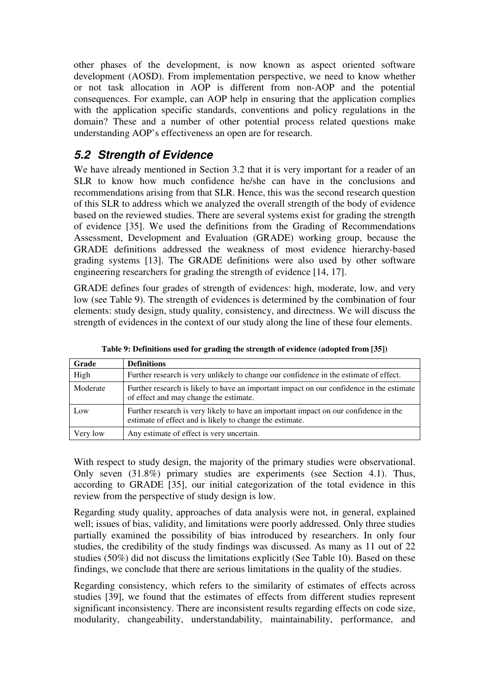other phases of the development, is now known as aspect oriented software development (AOSD). From implementation perspective, we need to know whether or not task allocation in AOP is different from non-AOP and the potential consequences. For example, can AOP help in ensuring that the application complies with the application specific standards, conventions and policy regulations in the domain? These and a number of other potential process related questions make understanding AOP's effectiveness an open are for research.

### **5.2 Strength of Evidence**

We have already mentioned in Section 3.2 that it is very important for a reader of an SLR to know how much confidence he/she can have in the conclusions and recommendations arising from that SLR. Hence, this was the second research question of this SLR to address which we analyzed the overall strength of the body of evidence based on the reviewed studies. There are several systems exist for grading the strength of evidence [35]. We used the definitions from the Grading of Recommendations Assessment, Development and Evaluation (GRADE) working group, because the GRADE definitions addressed the weakness of most evidence hierarchy-based grading systems [13]. The GRADE definitions were also used by other software engineering researchers for grading the strength of evidence [14, 17].

GRADE defines four grades of strength of evidences: high, moderate, low, and very low (see Table 9). The strength of evidences is determined by the combination of four elements: study design, study quality, consistency, and directness. We will discuss the strength of evidences in the context of our study along the line of these four elements.

| Grade    | <b>Definitions</b>                                                                                                                               |
|----------|--------------------------------------------------------------------------------------------------------------------------------------------------|
| High     | Further research is very unlikely to change our confidence in the estimate of effect.                                                            |
| Moderate | Further research is likely to have an important impact on our confidence in the estimate<br>of effect and may change the estimate.               |
| Low      | Further research is very likely to have an important impact on our confidence in the<br>estimate of effect and is likely to change the estimate. |
| Very low | Any estimate of effect is very uncertain.                                                                                                        |

**Table 9: Definitions used for grading the strength of evidence (adopted from [35])** 

With respect to study design, the majority of the primary studies were observational. Only seven (31.8%) primary studies are experiments (see Section 4.1). Thus, according to GRADE [35], our initial categorization of the total evidence in this review from the perspective of study design is low.

Regarding study quality, approaches of data analysis were not, in general, explained well; issues of bias, validity, and limitations were poorly addressed. Only three studies partially examined the possibility of bias introduced by researchers. In only four studies, the credibility of the study findings was discussed. As many as 11 out of 22 studies (50%) did not discuss the limitations explicitly (See Table 10). Based on these findings, we conclude that there are serious limitations in the quality of the studies.

Regarding consistency, which refers to the similarity of estimates of effects across studies [39], we found that the estimates of effects from different studies represent significant inconsistency. There are inconsistent results regarding effects on code size, modularity, changeability, understandability, maintainability, performance, and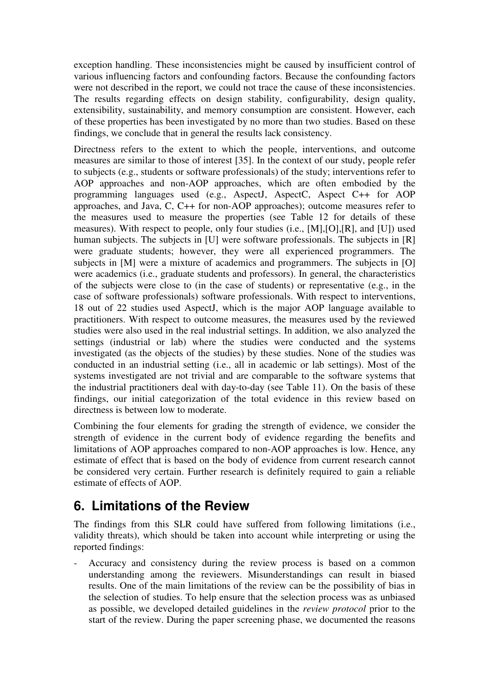exception handling. These inconsistencies might be caused by insufficient control of various influencing factors and confounding factors. Because the confounding factors were not described in the report, we could not trace the cause of these inconsistencies. The results regarding effects on design stability, configurability, design quality, extensibility, sustainability, and memory consumption are consistent. However, each of these properties has been investigated by no more than two studies. Based on these findings, we conclude that in general the results lack consistency.

Directness refers to the extent to which the people, interventions, and outcome measures are similar to those of interest [35]. In the context of our study, people refer to subjects (e.g., students or software professionals) of the study; interventions refer to AOP approaches and non-AOP approaches, which are often embodied by the programming languages used (e.g., AspectJ, AspectC, Aspect C++ for AOP approaches, and Java, C, C++ for non-AOP approaches); outcome measures refer to the measures used to measure the properties (see Table 12 for details of these measures). With respect to people, only four studies (i.e., [M],[O],[R], and [U]) used human subjects. The subjects in [U] were software professionals. The subjects in [R] were graduate students; however, they were all experienced programmers. The subjects in [M] were a mixture of academics and programmers. The subjects in [O] were academics (i.e., graduate students and professors). In general, the characteristics of the subjects were close to (in the case of students) or representative (e.g., in the case of software professionals) software professionals. With respect to interventions, 18 out of 22 studies used AspectJ, which is the major AOP language available to practitioners. With respect to outcome measures, the measures used by the reviewed studies were also used in the real industrial settings. In addition, we also analyzed the settings (industrial or lab) where the studies were conducted and the systems investigated (as the objects of the studies) by these studies. None of the studies was conducted in an industrial setting (i.e., all in academic or lab settings). Most of the systems investigated are not trivial and are comparable to the software systems that the industrial practitioners deal with day-to-day (see Table 11). On the basis of these findings, our initial categorization of the total evidence in this review based on directness is between low to moderate.

Combining the four elements for grading the strength of evidence, we consider the strength of evidence in the current body of evidence regarding the benefits and limitations of AOP approaches compared to non-AOP approaches is low. Hence, any estimate of effect that is based on the body of evidence from current research cannot be considered very certain. Further research is definitely required to gain a reliable estimate of effects of AOP.

### **6. Limitations of the Review**

The findings from this SLR could have suffered from following limitations (i.e., validity threats), which should be taken into account while interpreting or using the reported findings:

Accuracy and consistency during the review process is based on a common understanding among the reviewers. Misunderstandings can result in biased results. One of the main limitations of the review can be the possibility of bias in the selection of studies. To help ensure that the selection process was as unbiased as possible, we developed detailed guidelines in the *review protocol* prior to the start of the review. During the paper screening phase, we documented the reasons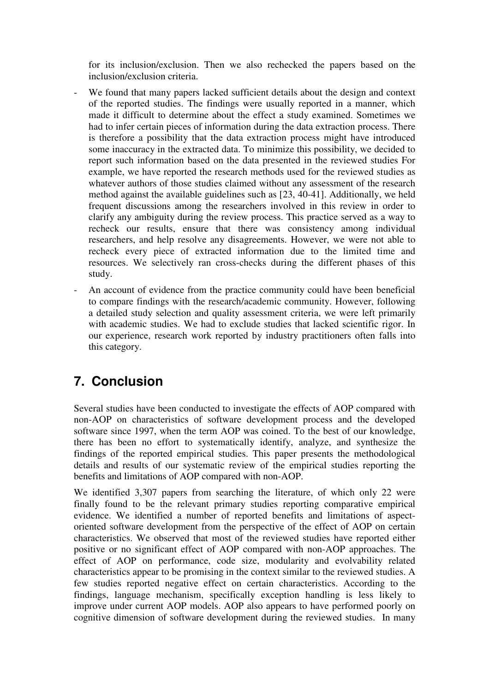for its inclusion/exclusion. Then we also rechecked the papers based on the inclusion/exclusion criteria.

- We found that many papers lacked sufficient details about the design and context of the reported studies. The findings were usually reported in a manner, which made it difficult to determine about the effect a study examined. Sometimes we had to infer certain pieces of information during the data extraction process. There is therefore a possibility that the data extraction process might have introduced some inaccuracy in the extracted data. To minimize this possibility, we decided to report such information based on the data presented in the reviewed studies For example, we have reported the research methods used for the reviewed studies as whatever authors of those studies claimed without any assessment of the research method against the available guidelines such as [23, 40-41]. Additionally, we held frequent discussions among the researchers involved in this review in order to clarify any ambiguity during the review process. This practice served as a way to recheck our results, ensure that there was consistency among individual researchers, and help resolve any disagreements. However, we were not able to recheck every piece of extracted information due to the limited time and resources. We selectively ran cross-checks during the different phases of this study.
- An account of evidence from the practice community could have been beneficial to compare findings with the research/academic community. However, following a detailed study selection and quality assessment criteria, we were left primarily with academic studies. We had to exclude studies that lacked scientific rigor. In our experience, research work reported by industry practitioners often falls into this category.

# **7. Conclusion**

Several studies have been conducted to investigate the effects of AOP compared with non-AOP on characteristics of software development process and the developed software since 1997, when the term AOP was coined. To the best of our knowledge, there has been no effort to systematically identify, analyze, and synthesize the findings of the reported empirical studies. This paper presents the methodological details and results of our systematic review of the empirical studies reporting the benefits and limitations of AOP compared with non-AOP.

We identified 3,307 papers from searching the literature, of which only 22 were finally found to be the relevant primary studies reporting comparative empirical evidence. We identified a number of reported benefits and limitations of aspectoriented software development from the perspective of the effect of AOP on certain characteristics. We observed that most of the reviewed studies have reported either positive or no significant effect of AOP compared with non-AOP approaches. The effect of AOP on performance, code size, modularity and evolvability related characteristics appear to be promising in the context similar to the reviewed studies. A few studies reported negative effect on certain characteristics. According to the findings, language mechanism, specifically exception handling is less likely to improve under current AOP models. AOP also appears to have performed poorly on cognitive dimension of software development during the reviewed studies. In many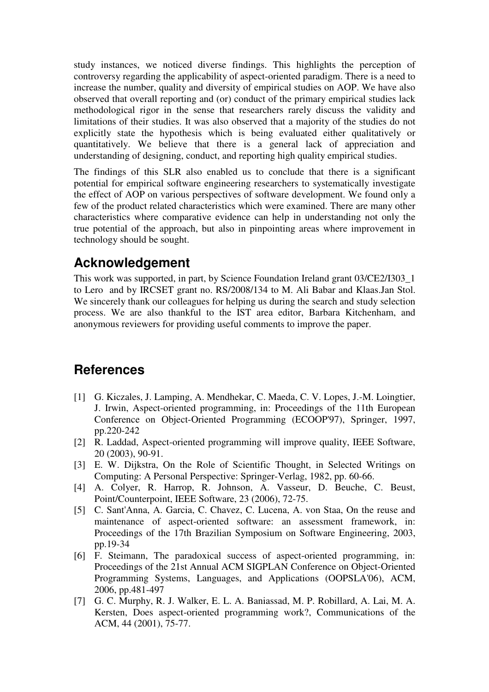study instances, we noticed diverse findings. This highlights the perception of controversy regarding the applicability of aspect-oriented paradigm. There is a need to increase the number, quality and diversity of empirical studies on AOP. We have also observed that overall reporting and (or) conduct of the primary empirical studies lack methodological rigor in the sense that researchers rarely discuss the validity and limitations of their studies. It was also observed that a majority of the studies do not explicitly state the hypothesis which is being evaluated either qualitatively or quantitatively. We believe that there is a general lack of appreciation and understanding of designing, conduct, and reporting high quality empirical studies.

The findings of this SLR also enabled us to conclude that there is a significant potential for empirical software engineering researchers to systematically investigate the effect of AOP on various perspectives of software development. We found only a few of the product related characteristics which were examined. There are many other characteristics where comparative evidence can help in understanding not only the true potential of the approach, but also in pinpointing areas where improvement in technology should be sought.

## **Acknowledgement**

This work was supported, in part, by Science Foundation Ireland grant 03/CE2/I303\_1 to Lero and by IRCSET grant no. RS/2008/134 to M. Ali Babar and Klaas.Jan Stol. We sincerely thank our colleagues for helping us during the search and study selection process. We are also thankful to the IST area editor, Barbara Kitchenham, and anonymous reviewers for providing useful comments to improve the paper.

# **References**

- [1] G. Kiczales, J. Lamping, A. Mendhekar, C. Maeda, C. V. Lopes, J.-M. Loingtier, J. Irwin, Aspect-oriented programming, in: Proceedings of the 11th European Conference on Object-Oriented Programming (ECOOP'97), Springer, 1997, pp.220-242
- [2] R. Laddad, Aspect-oriented programming will improve quality, IEEE Software, 20 (2003), 90-91.
- [3] E. W. Dijkstra, On the Role of Scientific Thought, in Selected Writings on Computing: A Personal Perspective: Springer-Verlag, 1982, pp. 60-66.
- [4] A. Colyer, R. Harrop, R. Johnson, A. Vasseur, D. Beuche, C. Beust, Point/Counterpoint, IEEE Software, 23 (2006), 72-75.
- [5] C. Sant'Anna, A. Garcia, C. Chavez, C. Lucena, A. von Staa, On the reuse and maintenance of aspect-oriented software: an assessment framework, in: Proceedings of the 17th Brazilian Symposium on Software Engineering, 2003, pp.19-34
- [6] F. Steimann, The paradoxical success of aspect-oriented programming, in: Proceedings of the 21st Annual ACM SIGPLAN Conference on Object-Oriented Programming Systems, Languages, and Applications (OOPSLA'06), ACM, 2006, pp.481-497
- [7] G. C. Murphy, R. J. Walker, E. L. A. Baniassad, M. P. Robillard, A. Lai, M. A. Kersten, Does aspect-oriented programming work?, Communications of the ACM, 44 (2001), 75-77.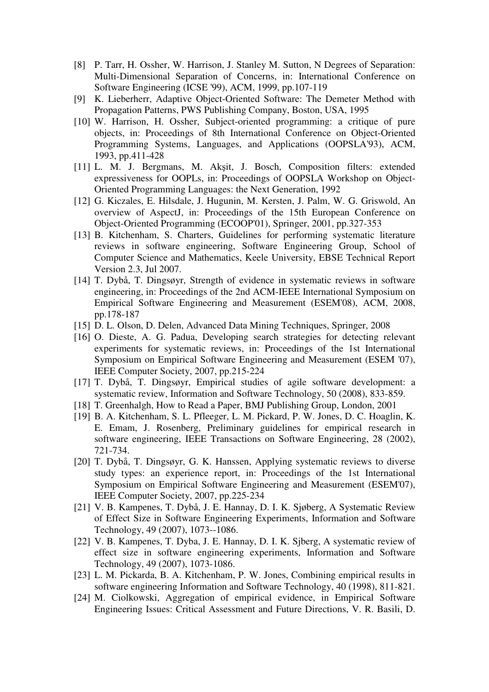- [8] P. Tarr, H. Ossher, W. Harrison, J. Stanley M. Sutton, N Degrees of Separation: Multi-Dimensional Separation of Concerns, in: International Conference on Software Engineering (ICSE '99), ACM, 1999, pp.107-119
- [9] K. Lieberherr, Adaptive Object-Oriented Software: The Demeter Method with Propagation Patterns, PWS Publishing Company, Boston, USA, 1995
- [10] W. Harrison, H. Ossher, Subject-oriented programming: a critique of pure objects, in: Proceedings of 8th International Conference on Object-Oriented Programming Systems, Languages, and Applications (OOPSLA'93), ACM, 1993, pp.411-428
- [11] L. M. J. Bergmans, M. Akşit, J. Bosch, Composition filters: extended expressiveness for OOPLs, in: Proceedings of OOPSLA Workshop on Object-Oriented Programming Languages: the Next Generation, 1992
- [12] G. Kiczales, E. Hilsdale, J. Hugunin, M. Kersten, J. Palm, W. G. Griswold, An overview of AspectJ, in: Proceedings of the 15th European Conference on Object-Oriented Programming (ECOOP'01), Springer, 2001, pp.327-353
- [13] B. Kitchenham, S. Charters, Guidelines for performing systematic literature reviews in software engineering, Software Engineering Group, School of Computer Science and Mathematics, Keele University, EBSE Technical Report Version 2.3, Jul 2007.
- [14] T. Dybå, T. Dingsøyr, Strength of evidence in systematic reviews in software engineering, in: Proceedings of the 2nd ACM-IEEE International Symposium on Empirical Software Engineering and Measurement (ESEM'08), ACM, 2008, pp.178-187
- [15] D. L. Olson, D. Delen, Advanced Data Mining Techniques, Springer, 2008
- [16] O. Dieste, A. G. Padua, Developing search strategies for detecting relevant experiments for systematic reviews, in: Proceedings of the 1st International Symposium on Empirical Software Engineering and Measurement (ESEM '07), IEEE Computer Society, 2007, pp.215-224
- [17] T. Dybå, T. Dingsøyr, Empirical studies of agile software development: a systematic review, Information and Software Technology, 50 (2008), 833-859.
- [18] T. Greenhalgh, How to Read a Paper, BMJ Publishing Group, London, 2001
- [19] B. A. Kitchenham, S. L. Pfleeger, L. M. Pickard, P. W. Jones, D. C. Hoaglin, K. E. Emam, J. Rosenberg, Preliminary guidelines for empirical research in software engineering, IEEE Transactions on Software Engineering, 28 (2002), 721-734.
- [20] T. Dybå, T. Dingsøyr, G. K. Hanssen, Applying systematic reviews to diverse study types: an experience report, in: Proceedings of the 1st International Symposium on Empirical Software Engineering and Measurement (ESEM'07), IEEE Computer Society, 2007, pp.225-234
- [21] V. B. Kampenes, T. Dybå, J. E. Hannay, D. I. K. Sjøberg, A Systematic Review of Effect Size in Software Engineering Experiments, Information and Software Technology, 49 (2007), 1073--1086.
- [22] V. B. Kampenes, T. Dyba, J. E. Hannay, D. I. K. Sjberg, A systematic review of effect size in software engineering experiments, Information and Software Technology, 49 (2007), 1073-1086.
- [23] L. M. Pickarda, B. A. Kitchenham, P. W. Jones, Combining empirical results in software engineering Information and Software Technology, 40 (1998), 811-821.
- [24] M. Ciolkowski, Aggregation of empirical evidence, in Empirical Software Engineering Issues: Critical Assessment and Future Directions, V. R. Basili, D.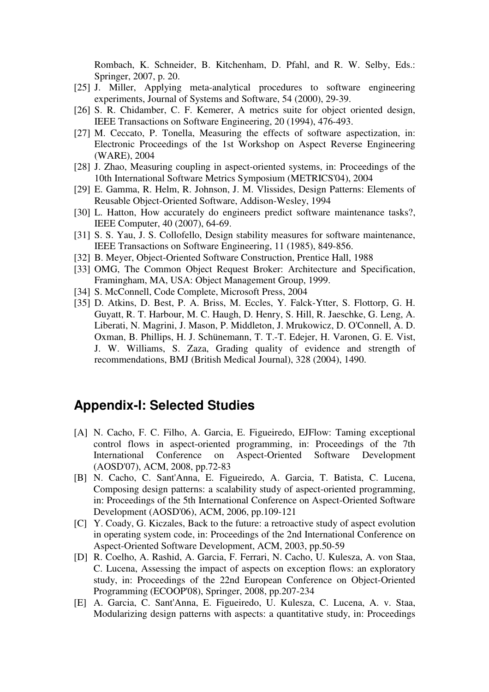Rombach, K. Schneider, B. Kitchenham, D. Pfahl, and R. W. Selby, Eds.: Springer, 2007, p. 20.

- [25] J. Miller, Applying meta-analytical procedures to software engineering experiments, Journal of Systems and Software, 54 (2000), 29-39.
- [26] S. R. Chidamber, C. F. Kemerer, A metrics suite for object oriented design, IEEE Transactions on Software Engineering, 20 (1994), 476-493.
- [27] M. Ceccato, P. Tonella, Measuring the effects of software aspectization, in: Electronic Proceedings of the 1st Workshop on Aspect Reverse Engineering (WARE), 2004
- [28] J. Zhao, Measuring coupling in aspect-oriented systems, in: Proceedings of the 10th International Software Metrics Symposium (METRICS'04), 2004
- [29] E. Gamma, R. Helm, R. Johnson, J. M. Vlissides, Design Patterns: Elements of Reusable Object-Oriented Software, Addison-Wesley, 1994
- [30] L. Hatton, How accurately do engineers predict software maintenance tasks?, IEEE Computer, 40 (2007), 64-69.
- [31] S. S. Yau, J. S. Collofello, Design stability measures for software maintenance, IEEE Transactions on Software Engineering, 11 (1985), 849-856.
- [32] B. Meyer, Object-Oriented Software Construction, Prentice Hall, 1988
- [33] OMG, The Common Object Request Broker: Architecture and Specification, Framingham, MA, USA: Object Management Group, 1999.
- [34] S. McConnell, Code Complete, Microsoft Press, 2004
- [35] D. Atkins, D. Best, P. A. Briss, M. Eccles, Y. Falck-Ytter, S. Flottorp, G. H. Guyatt, R. T. Harbour, M. C. Haugh, D. Henry, S. Hill, R. Jaeschke, G. Leng, A. Liberati, N. Magrini, J. Mason, P. Middleton, J. Mrukowicz, D. O'Connell, A. D. Oxman, B. Phillips, H. J. Schünemann, T. T.-T. Edejer, H. Varonen, G. E. Vist, J. W. Williams, S. Zaza, Grading quality of evidence and strength of recommendations, BMJ (British Medical Journal), 328 (2004), 1490.

#### **Appendix-I: Selected Studies**

- [A] N. Cacho, F. C. Filho, A. Garcia, E. Figueiredo, EJFlow: Taming exceptional control flows in aspect-oriented programming, in: Proceedings of the 7th International Conference on Aspect-Oriented Software Development (AOSD'07), ACM, 2008, pp.72-83
- [B] N. Cacho, C. Sant'Anna, E. Figueiredo, A. Garcia, T. Batista, C. Lucena, Composing design patterns: a scalability study of aspect-oriented programming, in: Proceedings of the 5th International Conference on Aspect-Oriented Software Development (AOSD'06), ACM, 2006, pp.109-121
- [C] Y. Coady, G. Kiczales, Back to the future: a retroactive study of aspect evolution in operating system code, in: Proceedings of the 2nd International Conference on Aspect-Oriented Software Development, ACM, 2003, pp.50-59
- [D] R. Coelho, A. Rashid, A. Garcia, F. Ferrari, N. Cacho, U. Kulesza, A. von Staa, C. Lucena, Assessing the impact of aspects on exception flows: an exploratory study, in: Proceedings of the 22nd European Conference on Object-Oriented Programming (ECOOP'08), Springer, 2008, pp.207-234
- [E] A. Garcia, C. Sant'Anna, E. Figueiredo, U. Kulesza, C. Lucena, A. v. Staa, Modularizing design patterns with aspects: a quantitative study, in: Proceedings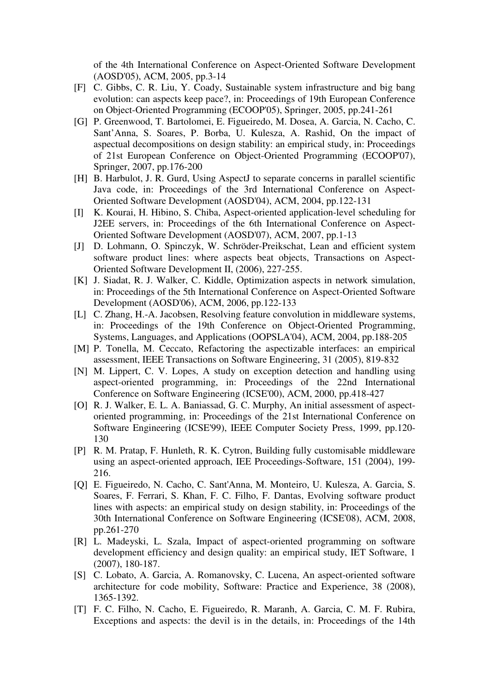of the 4th International Conference on Aspect-Oriented Software Development (AOSD'05), ACM, 2005, pp.3-14

- [F] C. Gibbs, C. R. Liu, Y. Coady, Sustainable system infrastructure and big bang evolution: can aspects keep pace?, in: Proceedings of 19th European Conference on Object-Oriented Programming (ECOOP'05), Springer, 2005, pp.241-261
- [G] P. Greenwood, T. Bartolomei, E. Figueiredo, M. Dosea, A. Garcia, N. Cacho, C. Sant'Anna, S. Soares, P. Borba, U. Kulesza, A. Rashid, On the impact of aspectual decompositions on design stability: an empirical study, in: Proceedings of 21st European Conference on Object-Oriented Programming (ECOOP'07), Springer, 2007, pp.176-200
- [H] B. Harbulot, J. R. Gurd, Using AspectJ to separate concerns in parallel scientific Java code, in: Proceedings of the 3rd International Conference on Aspect-Oriented Software Development (AOSD'04), ACM, 2004, pp.122-131
- [I] K. Kourai, H. Hibino, S. Chiba, Aspect-oriented application-level scheduling for J2EE servers, in: Proceedings of the 6th International Conference on Aspect-Oriented Software Development (AOSD'07), ACM, 2007, pp.1-13
- [J] D. Lohmann, O. Spinczyk, W. Schröder-Preikschat, Lean and efficient system software product lines: where aspects beat objects, Transactions on Aspect-Oriented Software Development II, (2006), 227-255.
- [K] J. Siadat, R. J. Walker, C. Kiddle, Optimization aspects in network simulation, in: Proceedings of the 5th International Conference on Aspect-Oriented Software Development (AOSD'06), ACM, 2006, pp.122-133
- [L] C. Zhang, H.-A. Jacobsen, Resolving feature convolution in middleware systems, in: Proceedings of the 19th Conference on Object-Oriented Programming, Systems, Languages, and Applications (OOPSLA'04), ACM, 2004, pp.188-205
- [M] P. Tonella, M. Ceccato, Refactoring the aspectizable interfaces: an empirical assessment, IEEE Transactions on Software Engineering, 31 (2005), 819-832
- [N] M. Lippert, C. V. Lopes, A study on exception detection and handling using aspect-oriented programming, in: Proceedings of the 22nd International Conference on Software Engineering (ICSE'00), ACM, 2000, pp.418-427
- [O] R. J. Walker, E. L. A. Baniassad, G. C. Murphy, An initial assessment of aspectoriented programming, in: Proceedings of the 21st International Conference on Software Engineering (ICSE'99), IEEE Computer Society Press, 1999, pp.120- 130
- [P] R. M. Pratap, F. Hunleth, R. K. Cytron, Building fully customisable middleware using an aspect-oriented approach, IEE Proceedings-Software, 151 (2004), 199- 216.
- [Q] E. Figueiredo, N. Cacho, C. Sant'Anna, M. Monteiro, U. Kulesza, A. Garcia, S. Soares, F. Ferrari, S. Khan, F. C. Filho, F. Dantas, Evolving software product lines with aspects: an empirical study on design stability, in: Proceedings of the 30th International Conference on Software Engineering (ICSE'08), ACM, 2008, pp.261-270
- [R] L. Madeyski, L. Szala, Impact of aspect-oriented programming on software development efficiency and design quality: an empirical study, IET Software, 1 (2007), 180-187.
- [S] C. Lobato, A. Garcia, A. Romanovsky, C. Lucena, An aspect-oriented software architecture for code mobility, Software: Practice and Experience, 38 (2008), 1365-1392.
- [T] F. C. Filho, N. Cacho, E. Figueiredo, R. Maranh, A. Garcia, C. M. F. Rubira, Exceptions and aspects: the devil is in the details, in: Proceedings of the 14th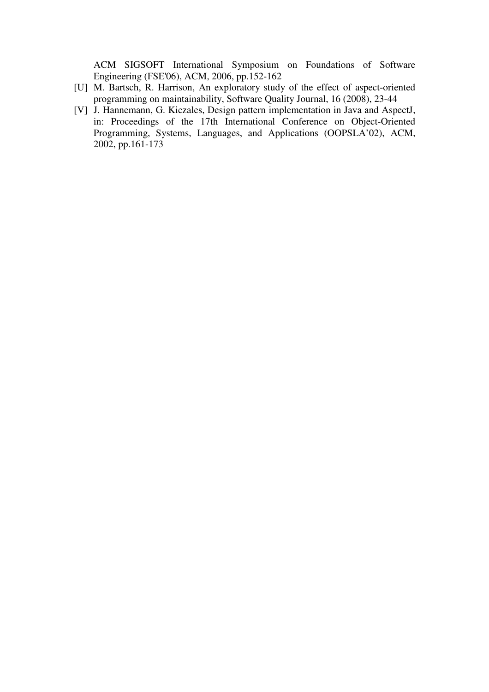ACM SIGSOFT International Symposium on Foundations of Software Engineering (FSE'06), ACM, 2006, pp.152-162

- [U] M. Bartsch, R. Harrison, An exploratory study of the effect of aspect-oriented programming on maintainability, Software Quality Journal, 16 (2008), 23-44
- [V] J. Hannemann, G. Kiczales, Design pattern implementation in Java and AspectJ, in: Proceedings of the 17th International Conference on Object-Oriented Programming, Systems, Languages, and Applications (OOPSLA'02), ACM, 2002, pp.161-173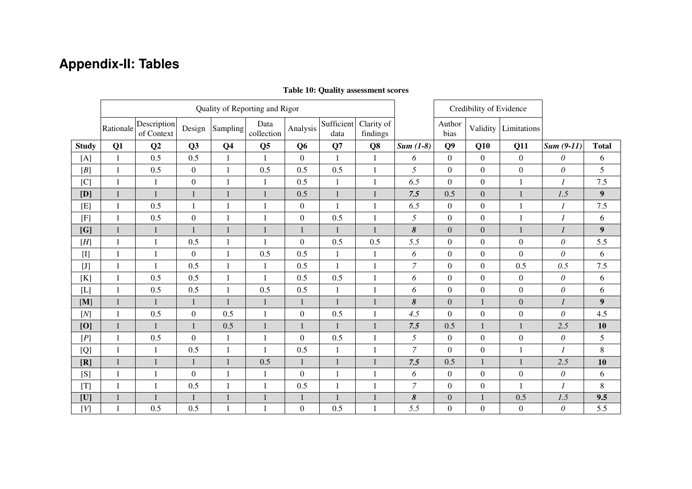# **Appendix-II: Tables**

|              | Quality of Reporting and Rigor |                           |                  |                |                    |                  |                    |                        |                  | Credibility of Evidence |                  |                  |                       |                  |
|--------------|--------------------------------|---------------------------|------------------|----------------|--------------------|------------------|--------------------|------------------------|------------------|-------------------------|------------------|------------------|-----------------------|------------------|
|              | Rationale                      | Description<br>of Context | Design           | Sampling       | Data<br>collection | Analysis         | Sufficient<br>data | Clarity of<br>findings |                  | Author<br>bias          | Validity         | Limitations      |                       |                  |
| <b>Study</b> | Q1                             | Q2                        | Q3               | Q <sub>4</sub> | Q <sub>5</sub>     | Q <sub>6</sub>   | Q7                 | $\bf Q8$               | $Sum(1-8)$       | Q <sub>9</sub>          | Q10              | Q11              | $Sum(9-11)$           | <b>Total</b>     |
| [A]          | $\mathbf{1}$                   | 0.5                       | 0.5              | 1              | 1                  | $\boldsymbol{0}$ | 1                  | 1                      | 6                | $\mathbf{0}$            | $\boldsymbol{0}$ | $\mathbf{0}$     | 0                     | 6                |
| $[B]$        | $\mathbf{1}$                   | 0.5                       | $\boldsymbol{0}$ | 1              | 0.5                | 0.5              | 0.5                | $\mathbf{1}$           | 5                | $\mathbf{0}$            | $\boldsymbol{0}$ | $\mathbf{0}$     | $\boldsymbol{\theta}$ | 5                |
| [C]          | $\mathbf{1}$                   | $\mathbf{1}$              | $\boldsymbol{0}$ | $\mathbf{1}$   | 1                  | 0.5              | 1                  | $\mathbf{1}$           | 6.5              | $\overline{0}$          | $\boldsymbol{0}$ |                  | $\overline{I}$        | $7.5$            |
| [D]          |                                | $\mathbf{1}$              | $\mathbf{1}$     |                | $\mathbf{1}$       | 0.5              |                    |                        | 7.5              | 0.5                     | $\boldsymbol{0}$ |                  | 1.5                   | $\boldsymbol{9}$ |
| [E]          | $\mathbf{1}$                   | 0.5                       | $\mathbf{1}$     | $\mathbf{1}$   | $\mathbf{1}$       | $\boldsymbol{0}$ |                    | $\mathbf{1}$           | 6.5              | $\mathbf{0}$            | $\boldsymbol{0}$ |                  | $\boldsymbol{l}$      | $7.5$            |
| [F]          | $\mathbf{1}$                   | 0.5                       | $\boldsymbol{0}$ | $\mathbf{1}$   | $\mathbf{1}$       | $\boldsymbol{0}$ | 0.5                | $\mathbf{1}$           | 5                | $\mathbf{0}$            | $\boldsymbol{0}$ | $\mathbf{1}$     | $\boldsymbol{l}$      | 6                |
| [G]          | 1                              | $\mathbf{1}$              | $\mathbf{1}$     | 1              |                    | $\mathbf{1}$     | 1                  | $\mathbf{1}$           | 8                | $\mathbf{0}$            | $\boldsymbol{0}$ |                  | $\mathcal{I}$         | $\boldsymbol{9}$ |
| [H]          | $\mathbf{1}$                   | $\mathbf{1}$              | 0.5              | 1              | 1                  | $\boldsymbol{0}$ | 0.5                | 0.5                    | 5.5              | $\overline{0}$          | $\boldsymbol{0}$ | $\boldsymbol{0}$ | $\mathcal O$          | 5.5              |
| $[1]$        | 1                              | $\mathbf{1}$              | $\overline{0}$   | 1              | 0.5                | 0.5              | 1                  | 1                      | 6                | $\mathbf{0}$            | $\boldsymbol{0}$ | $\mathbf{0}$     | $\theta$              | 6                |
| $[J]$        | $\mathbf{1}$                   | $\mathbf{1}$              | 0.5              | 1              | 1                  | 0.5              |                    | 1                      | $\boldsymbol{7}$ | $\mathbf{0}$            | $\boldsymbol{0}$ | 0.5              | 0.5                   | $7.5$            |
| [K]          | 1                              | 0.5                       | 0.5              | 1              | 1                  | 0.5              | 0.5                | 1                      | 6                | $\mathbf{0}$            | $\boldsymbol{0}$ | $\mathbf{0}$     | $\theta$              | 6                |
| $[{\rm L}]$  | $\mathbf{1}$                   | 0.5                       | 0.5              | $\mathbf{1}$   | 0.5                | 0.5              |                    | $\mathbf{1}$           | 6                | $\mathbf{0}$            | $\boldsymbol{0}$ | $\mathbf{0}$     | $\theta$              | 6                |
| [M]          |                                | $\mathbf{1}$              | $\mathbf{1}$     |                | 1                  | $\mathbf{1}$     |                    |                        | 8                | $\mathbf{0}$            | $\overline{1}$   | $\boldsymbol{0}$ | $\mathcal{I}$         | $\boldsymbol{9}$ |
| [N]          | $\mathbf{1}$                   | 0.5                       | $\boldsymbol{0}$ | 0.5            | $\mathbf{1}$       | $\boldsymbol{0}$ | 0.5                | $\mathbf{1}$           | 4.5              | $\overline{0}$          | $\boldsymbol{0}$ | $\mathbf{0}$     | $\theta$              | 4.5              |
| [0]          | $\mathbf{1}$                   | $\mathbf{1}$              | $\mathbf{1}$     | 0.5            | 1                  | $\mathbf{1}$     | $\mathbf{1}$       | 1                      | 7.5              | 0.5                     | $\mathbf{1}$     | $\mathbf{1}$     | 2.5                   | 10               |
| [P]          | $\mathbf{1}$                   | 0.5                       | $\overline{0}$   | $\mathbf{1}$   | 1                  | $\boldsymbol{0}$ | 0.5                | $\mathbf{1}$           | 5                | $\overline{0}$          | $\boldsymbol{0}$ | $\mathbf{0}$     | $\boldsymbol{\theta}$ | 5                |
| [Q]          | $\mathbf{1}$                   | 1                         | 0.5              | 1              | 1                  | 0.5              |                    | $\mathbf{1}$           | $\boldsymbol{7}$ | $\overline{0}$          | $\boldsymbol{0}$ |                  | $\overline{I}$        | $8\,$            |
| [R]          | 1                              |                           | 1                |                | 0.5                | $\mathbf{1}$     |                    |                        | 7.5              | 0.5                     |                  |                  | 2.5                   | 10               |
| [S]          | $\mathbf{1}$                   | $\mathbf{1}$              | $\boldsymbol{0}$ | 1              | 1                  | $\boldsymbol{0}$ |                    | 1                      | 6                | $\mathbf{0}$            | $\mathbf{0}$     | $\boldsymbol{0}$ | $\boldsymbol{\theta}$ | 6                |
| [T]          | $\mathbf{1}$                   | $\mathbf{1}$              | 0.5              | 1              | 1                  | 0.5              |                    | $\mathbf{1}$           | $\boldsymbol{7}$ | $\mathbf{0}$            | $\mathbf{0}$     | $\mathbf{1}$     | $\mathfrak{1}$        | $8\,$            |
| [U]          | 1                              | $\mathbf{1}$              | $\mathbf{1}$     |                |                    | $\mathbf{1}$     |                    |                        | 8                | $\boldsymbol{0}$        | $\mathbf{1}$     | 0.5              | 1.5                   | 9.5              |
| [V]          |                                | 0.5                       | 0.5              |                |                    | $\boldsymbol{0}$ | 0.5                |                        | 5.5              | $\mathbf{0}$            | $\boldsymbol{0}$ | $\boldsymbol{0}$ | $\theta$              | 5.5              |

#### **Table 10: Quality assessment scores**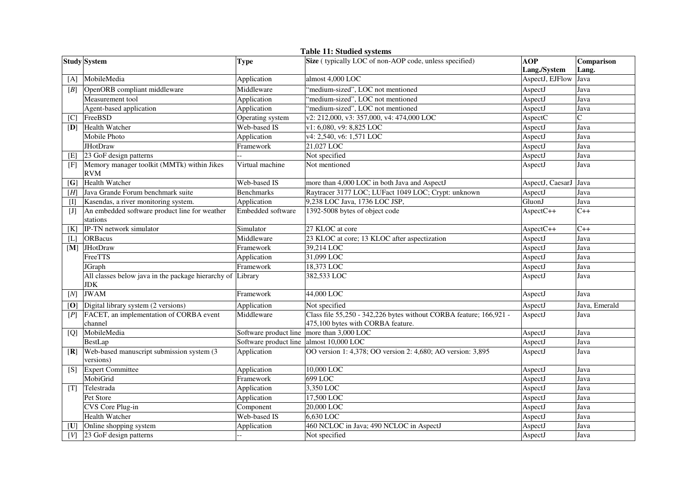|                             | <b>Table 11: Studied systems</b>                           |                       |                                                                                                         |                       |               |  |  |  |
|-----------------------------|------------------------------------------------------------|-----------------------|---------------------------------------------------------------------------------------------------------|-----------------------|---------------|--|--|--|
|                             | <b>Study System</b>                                        | <b>Type</b>           | Size (typically LOC of non-AOP code, unless specified)                                                  | <b>AOP</b>            | Comparison    |  |  |  |
|                             |                                                            |                       |                                                                                                         | Lang./System          | Lang.         |  |  |  |
| [A]                         | MobileMedia                                                | Application           | almost 4,000 LOC                                                                                        | AspectJ, EJFlow       | Java          |  |  |  |
| [B]                         | OpenORB compliant middleware                               | Middleware            | 'medium-sized", LOC not mentioned                                                                       | AspectJ               | Java          |  |  |  |
|                             | Measurement tool                                           | Application           | 'medium-sized", LOC not mentioned                                                                       | AspectJ               | Java          |  |  |  |
|                             | Agent-based application                                    | Application           | "medium-sized", LOC not mentioned                                                                       | AspectJ               | Java          |  |  |  |
| [CI]                        | FreeBSD                                                    | Operating system      | v2: 212,000, v3: 357,000, v4: 474,000 LOC                                                               | AspectC               | Ċ             |  |  |  |
| [D]                         | <b>Health Watcher</b>                                      | Web-based IS          | v1: 6,080, v9: 8,825 LOC                                                                                | AspectJ               | Java          |  |  |  |
|                             | Mobile Photo                                               | Application           | v4: 2,540, v6: 1,571 LOC                                                                                | AspectJ               | Java          |  |  |  |
|                             | <b>JHotDraw</b>                                            | Framework             | 21,027 LOC                                                                                              | AspectJ               | Java          |  |  |  |
| [E]                         | 23 GoF design patterns                                     |                       | Not specified                                                                                           | AspectJ               | Java          |  |  |  |
| [F]                         | Memory manager toolkit (MMTk) within Jikes<br><b>RVM</b>   | Virtual machine       | Not mentioned                                                                                           | AspectJ               | Java          |  |  |  |
| $\lceil$ G                  | <b>Health Watcher</b>                                      | Web-based IS          | more than 4,000 LOC in both Java and AspectJ                                                            | AspectJ, CaesarJ Java |               |  |  |  |
| ſН                          | Java Grande Forum benchmark suite                          | <b>Benchmarks</b>     | Raytracer 3177 LOC; LUFact 1049 LOC; Crypt: unknown                                                     | AspectJ               | Java          |  |  |  |
| $[1]$                       | Kasendas, a river monitoring system.                       | Application           | 9,238 LOC Java, 1736 LOC JSP,                                                                           | GluonJ                | Java          |  |  |  |
| [J]                         | An embedded software product line for weather<br>stations  | Embedded software     | 1392-5008 bytes of object code                                                                          | AspectC++             | $C++$         |  |  |  |
| [K]                         | IP-TN network simulator                                    | Simulator             | 27 KLOC at core                                                                                         | AspectC++             | $C++$         |  |  |  |
| [L]                         | <b>ORBacus</b>                                             | Middleware            | 23 KLOC at core; 13 KLOC after aspectization                                                            | AspectJ               | Java          |  |  |  |
| [M]                         | <b>JHotDraw</b>                                            | Framework             | 39,214 LOC                                                                                              | AspectJ               | Java          |  |  |  |
|                             | FreeTTS                                                    | Application           | 31,099 LOC                                                                                              | AspectJ               | Java          |  |  |  |
|                             | JGraph                                                     | Framework             | 18,373 LOC                                                                                              | AspectJ               | Java          |  |  |  |
|                             | All classes below java in the package hierarchy of Library |                       | 382,533 LOC                                                                                             | AspectJ               | Java          |  |  |  |
|                             | <b>JDK</b>                                                 |                       |                                                                                                         |                       |               |  |  |  |
| [N]                         | <b>JWAM</b>                                                | Framework             | 44,000 LOC                                                                                              | AspectJ               | Java          |  |  |  |
| [0]                         | Digital library system (2 versions)                        | Application           | Not specified                                                                                           | AspectJ               | Java, Emerald |  |  |  |
| [P]                         | FACET, an implementation of CORBA event<br>channel         | Middleware            | Class file 55,250 - 342,226 bytes without CORBA feature; 166,921 -<br>475,100 bytes with CORBA feature. | AspectJ               | Java          |  |  |  |
| [Q]                         | MobileMedia                                                | Software product line | more than 3,000 LOC                                                                                     | AspectJ               | Java          |  |  |  |
|                             | <b>BestLap</b>                                             | Software product line | almost 10,000 LOC                                                                                       | AspectJ               | Java          |  |  |  |
| $\left[ \mathbf{R} \right]$ | Web-based manuscript submission system (3)<br>versions)    | Application           | OO version 1: 4,378; OO version 2: 4,680; AO version: 3,895                                             | AspectJ               | Java          |  |  |  |
| [S]                         | Expert Committee                                           | Application           | 10,000 LOC                                                                                              | AspectJ               | Java          |  |  |  |
|                             | MobiGrid                                                   | Framework             | 699 LOC                                                                                                 | AspectJ               | Java          |  |  |  |
| $\lceil T \rceil$           | Telestrada                                                 | Application           | 3,350 LOC                                                                                               | AspectJ               | Java          |  |  |  |
|                             | Pet Store                                                  | Application           | 17,500 LOC                                                                                              | AspectJ               | Java          |  |  |  |
|                             | CVS Core Plug-in                                           | Component             | 20,000 LOC                                                                                              | AspectJ               | Java          |  |  |  |
|                             | Health Watcher                                             | Web-based IS          | 6,630 LOC                                                                                               | AspectJ               | Java          |  |  |  |
| U                           | Online shopping system                                     | Application           | 460 NCLOC in Java; 490 NCLOC in AspectJ                                                                 | AspectJ               | Java          |  |  |  |
| [V]                         | 23 GoF design patterns                                     |                       | Not specified                                                                                           | AspectJ               | Java          |  |  |  |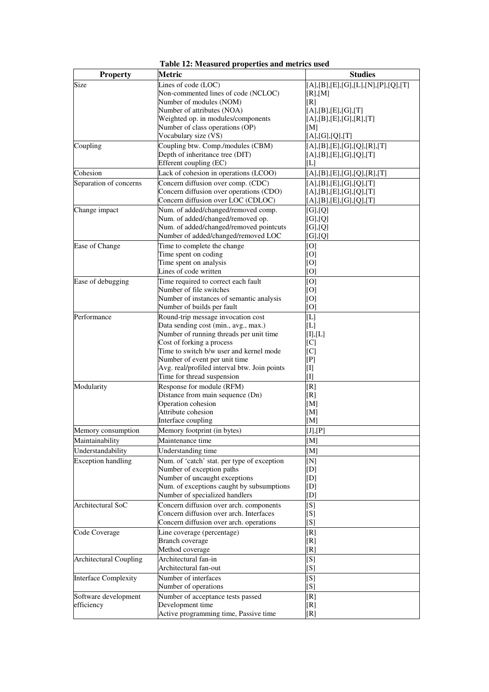| Table 12: Measured properties and metrics used |                                                                          |                                                      |  |  |  |  |
|------------------------------------------------|--------------------------------------------------------------------------|------------------------------------------------------|--|--|--|--|
| <b>Property</b>                                | <b>Metric</b>                                                            | <b>Studies</b>                                       |  |  |  |  |
| Size                                           | Lines of code (LOC)                                                      | [A],[B],[E],[G],[L],[N],[P],[Q],[T]                  |  |  |  |  |
|                                                | Non-commented lines of code (NCLOC)                                      | [R], [M]                                             |  |  |  |  |
|                                                | Number of modules (NOM)                                                  | [R]                                                  |  |  |  |  |
|                                                | Number of attributes (NOA)                                               | [A],[B],[E],[G],[T]                                  |  |  |  |  |
|                                                | Weighted op. in modules/components                                       | [A],[B],[E],[G],[R],[T]                              |  |  |  |  |
|                                                | Number of class operations (OP)                                          | ſМ]                                                  |  |  |  |  |
|                                                | Vocabulary size (VS)                                                     | [A],[G],[Q],[T]                                      |  |  |  |  |
| Coupling                                       | Coupling btw. Comp./modules (CBM)                                        | [A],[B],[E],[G],[Q],[R],[T]                          |  |  |  |  |
|                                                | Depth of inheritance tree (DIT)                                          | [A],[B],[E],[G],[Q],[T]                              |  |  |  |  |
|                                                | Efferent coupling (EC)                                                   | [L]                                                  |  |  |  |  |
| Cohesion                                       | Lack of cohesion in operations (LCOO)                                    | [A],[B],[E],[G],[Q],[R],[T]                          |  |  |  |  |
| Separation of concerns                         | Concern diffusion over comp. (CDC)                                       | [A],[B],[E],[G],[Q],[T]                              |  |  |  |  |
|                                                | Concern diffusion over operations (CDO)                                  | [A],[B],[E],[G],[Q],[T]                              |  |  |  |  |
|                                                | Concern diffusion over LOC (CDLOC)                                       | [A],[B],[E],[G],[Q],[T]                              |  |  |  |  |
| Change impact                                  | Num. of added/changed/removed comp.                                      | [G],[Q]                                              |  |  |  |  |
|                                                | Num. of added/changed/removed op.                                        | [G],[Q]                                              |  |  |  |  |
|                                                | Num. of added/changed/removed pointcuts                                  | [G],[Q]                                              |  |  |  |  |
|                                                | Number of added/changed/removed LOC                                      | [G],[Q]                                              |  |  |  |  |
| Ease of Change                                 | Time to complete the change                                              | [O]                                                  |  |  |  |  |
|                                                | Time spent on coding                                                     | [O]                                                  |  |  |  |  |
|                                                | Time spent on analysis                                                   | [0]                                                  |  |  |  |  |
|                                                | Lines of code written                                                    | [O]                                                  |  |  |  |  |
| Ease of debugging                              | Time required to correct each fault                                      | [O]                                                  |  |  |  |  |
|                                                | Number of file switches                                                  | [O]                                                  |  |  |  |  |
|                                                | Number of instances of semantic analysis                                 | [0]                                                  |  |  |  |  |
|                                                | Number of builds per fault                                               | [O]                                                  |  |  |  |  |
| Performance                                    | Round-trip message invocation cost                                       | [L]                                                  |  |  |  |  |
|                                                | Data sending cost (min., avg., max.)                                     | $[{\rm L}]$                                          |  |  |  |  |
|                                                | Number of running threads per unit time                                  | $\left[ \mathrm{I}\right] ,\left[ \mathrm{L}\right]$ |  |  |  |  |
|                                                | Cost of forking a process                                                | [C]                                                  |  |  |  |  |
|                                                | Time to switch b/w user and kernel mode<br>Number of event per unit time | $\lbrack C \rbrack$                                  |  |  |  |  |
|                                                | Avg. real/profiled interval btw. Join points                             | $[\mathrm{P}]$<br>[I]                                |  |  |  |  |
|                                                | Time for thread suspension                                               | [I]                                                  |  |  |  |  |
| Modularity                                     | Response for module (RFM)                                                | [R]                                                  |  |  |  |  |
|                                                | Distance from main sequence (Dn)                                         | [R]                                                  |  |  |  |  |
|                                                | Operation cohesion                                                       | [M]                                                  |  |  |  |  |
|                                                | Attribute cohesion                                                       | ſМ                                                   |  |  |  |  |
|                                                | Interface coupling                                                       | M                                                    |  |  |  |  |
| Memory consumption                             | Memory footprint (in bytes)                                              | [J],[P]                                              |  |  |  |  |
| Maintainability                                | Maintenance time                                                         | ſМ                                                   |  |  |  |  |
| Understandability                              | Understanding time                                                       | [M]                                                  |  |  |  |  |
| <b>Exception handling</b>                      | Num. of 'catch' stat. per type of exception                              | [N]                                                  |  |  |  |  |
|                                                | Number of exception paths                                                | [D]                                                  |  |  |  |  |
|                                                | Number of uncaught exceptions                                            | [D]                                                  |  |  |  |  |
|                                                | Num. of exceptions caught by subsumptions                                | [D]                                                  |  |  |  |  |
|                                                | Number of specialized handlers                                           | [D]                                                  |  |  |  |  |
| Architectural SoC                              | Concern diffusion over arch. components                                  | [S]                                                  |  |  |  |  |
|                                                | Concern diffusion over arch. Interfaces                                  | [S]                                                  |  |  |  |  |
|                                                | Concern diffusion over arch. operations                                  | [S]                                                  |  |  |  |  |
| Code Coverage                                  | Line coverage (percentage)                                               | [R]                                                  |  |  |  |  |
|                                                | Branch coverage                                                          | [R]                                                  |  |  |  |  |
|                                                | Method coverage                                                          | [R]                                                  |  |  |  |  |
| Architectural Coupling                         | Architectural fan-in                                                     | [S]                                                  |  |  |  |  |
|                                                | Architectural fan-out                                                    | $[\mathrm{S}]$                                       |  |  |  |  |
| <b>Interface Complexity</b>                    | Number of interfaces                                                     | [S]                                                  |  |  |  |  |
|                                                | Number of operations                                                     | [S]                                                  |  |  |  |  |
| Software development                           | Number of acceptance tests passed                                        | [R]                                                  |  |  |  |  |
| efficiency                                     | Development time                                                         | [R]                                                  |  |  |  |  |
|                                                | Active programming time, Passive time                                    | [R]                                                  |  |  |  |  |